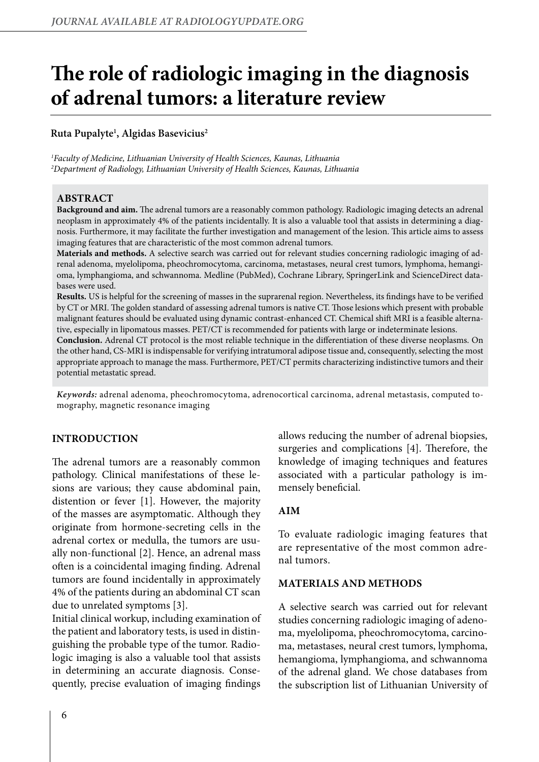# **The role of radiologic imaging in the diagnosis of adrenal tumors: a literature review**

# **Ruta Pupalyte1 , Algidas Basevicius2**

*1 Faculty of Medicine, Lithuanian University of Health Sciences, Kaunas, Lithuania 2 Department of Radiology, Lithuanian University of Health Sciences, Kaunas, Lithuania*

#### **ABSTRACT**

**Background and aim.** The adrenal tumors are a reasonably common pathology. Radiologic imaging detects an adrenal neoplasm in approximately 4% of the patients incidentally. It is also a valuable tool that assists in determining a diagnosis. Furthermore, it may facilitate the further investigation and management of the lesion. This article aims to assess imaging features that are characteristic of the most common adrenal tumors.

**Materials and methods.** A selective search was carried out for relevant studies concerning radiologic imaging of adrenal adenoma, myelolipoma, pheochromocytoma, carcinoma, metastases, neural crest tumors, lymphoma, hemangioma, lymphangioma, and schwannoma. Medline (PubMed), Cochrane Library, SpringerLink and ScienceDirect databases were used.

**Results.** US is helpful for the screening of masses in the suprarenal region. Nevertheless, its findings have to be verified by CT or MRI. The golden standard of assessing adrenal tumors is native CT. Those lesions which present with probable malignant features should be evaluated using dynamic contrast-enhanced CT. Chemical shift MRI is a feasible alternative, especially in lipomatous masses. PET/CT is recommended for patients with large or indeterminate lesions.

**Conclusion.** Adrenal CT protocol is the most reliable technique in the differentiation of these diverse neoplasms. On the other hand, CS-MRI is indispensable for verifying intratumoral adipose tissue and, consequently, selecting the most appropriate approach to manage the mass. Furthermore, PET/CT permits characterizing indistinctive tumors and their potential metastatic spread.

*Keywords:* adrenal adenoma, pheochromocytoma, adrenocortical carcinoma, adrenal metastasis, computed tomography, magnetic resonance imaging

## **INTRODUCTION**

The adrenal tumors are a reasonably common pathology. Clinical manifestations of these lesions are various; they cause abdominal pain, distention or fever [1]. However, the majority of the masses are asymptomatic. Although they originate from hormone-secreting cells in the adrenal cortex or medulla, the tumors are usually non-functional [2]. Hence, an adrenal mass often is a coincidental imaging finding. Adrenal tumors are found incidentally in approximately 4% of the patients during an abdominal CT scan due to unrelated symptoms [3].

Initial clinical workup, including examination of the patient and laboratory tests, is used in distinguishing the probable type of the tumor. Radiologic imaging is also a valuable tool that assists in determining an accurate diagnosis. Consequently, precise evaluation of imaging findings

allows reducing the number of adrenal biopsies, surgeries and complications [4]. Therefore, the knowledge of imaging techniques and features associated with a particular pathology is immensely beneficial.

## **AIM**

To evaluate radiologic imaging features that are representative of the most common adrenal tumors.

#### **MATERIALS AND METHODS**

A selective search was carried out for relevant studies concerning radiologic imaging of adenoma, myelolipoma, pheochromocytoma, carcinoma, metastases, neural crest tumors, lymphoma, hemangioma, lymphangioma, and schwannoma of the adrenal gland. We chose databases from the subscription list of Lithuanian University of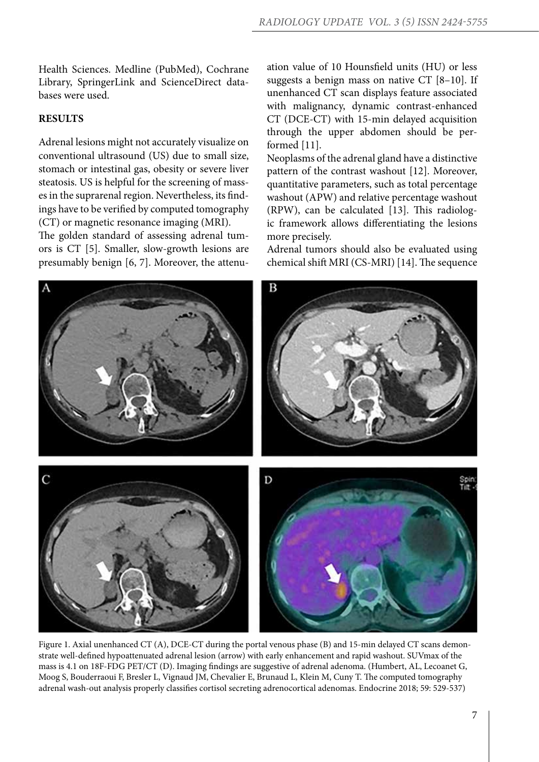Health Sciences. Medline (PubMed), Cochrane Library, SpringerLink and ScienceDirect databases were used.

## **RESULTS**

Adrenal lesions might not accurately visualize on conventional ultrasound (US) due to small size, stomach or intestinal gas, obesity or severe liver steatosis. US is helpful for the screening of masses in the suprarenal region. Nevertheless, its findings have to be verified by computed tomography (CT) or magnetic resonance imaging (MRI).

The golden standard of assessing adrenal tumors is CT [5]. Smaller, slow-growth lesions are presumably benign [6, 7]. Moreover, the attenuation value of 10 Hounsfield units (HU) or less suggests a benign mass on native CT [8–10]. If unenhanced CT scan displays feature associated with malignancy, dynamic contrast-enhanced CT (DCE-CT) with 15-min delayed acquisition through the upper abdomen should be performed [11].

Neoplasms of the adrenal gland have a distinctive pattern of the contrast washout [12]. Moreover, quantitative parameters, such as total percentage washout (APW) and relative percentage washout (RPW), can be calculated [13]. This radiologic framework allows differentiating the lesions more precisely.

Adrenal tumors should also be evaluated using chemical shift MRI (CS-MRI) [14]. The sequence



Figure 1. Axial unenhanced CT (A), DCE-CT during the portal venous phase (B) and 15-min delayed CT scans demonstrate well-defined hypoattenuated adrenal lesion (arrow) with early enhancement and rapid washout. SUVmax of the mass is 4.1 on 18F-FDG PET/CT (D). Imaging findings are suggestive of adrenal adenoma. (Humbert, AL, Lecoanet G, Moog S, Bouderraoui F, Bresler L, Vignaud JM, Chevalier E, Brunaud L, Klein M, Cuny T. The computed tomography adrenal wash-out analysis properly classifies cortisol secreting adrenocortical adenomas. Endocrine 2018; 59: 529-537)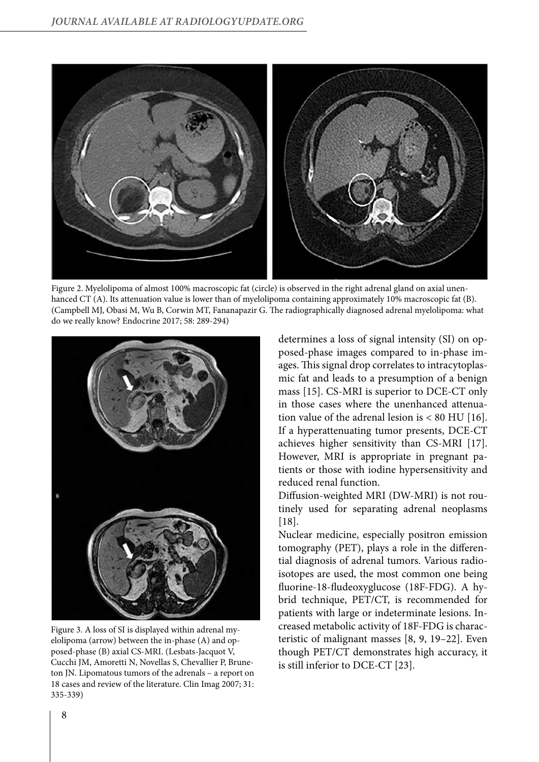

Figure 2. Myelolipoma of almost 100% macroscopic fat (circle) is observed in the right adrenal gland on axial unenhanced CT (A). Its attenuation value is lower than of myelolipoma containing approximately 10% macroscopic fat (B). (Campbell MJ, Obasi M, Wu B, Corwin MT, Fananapazir G. The radiographically diagnosed adrenal myelolipoma: what do we really know? Endocrine 2017; 58: 289-294)



Figure 3. A loss of SI is displayed within adrenal myelolipoma (arrow) between the in-phase (A) and opposed-phase (B) axial CS-MRI. (Lesbats-Jacquot V, Cucchi JM, Amoretti N, Novellas S, Chevallier P, Bruneton JN. Lipomatous tumors of the adrenals – a report on 18 cases and review of the literature. Clin Imag 2007; 31: 335-339)

determines a loss of signal intensity (SI) on opposed-phase images compared to in-phase images. This signal drop correlates to intracytoplasmic fat and leads to a presumption of a benign mass [15]. CS-MRI is superior to DCE-CT only in those cases where the unenhanced attenuation value of the adrenal lesion is  $< 80$  HU [16]. If a hyperattenuating tumor presents, DCE-CT achieves higher sensitivity than CS-MRI [17]. However, MRI is appropriate in pregnant patients or those with iodine hypersensitivity and reduced renal function.

Diffusion-weighted MRI (DW-MRI) is not routinely used for separating adrenal neoplasms [18].

Nuclear medicine, especially positron emission tomography (PET), plays a role in the differential diagnosis of adrenal tumors. Various radioisotopes are used, the most common one being fluorine-18-fludeoxyglucose (18F-FDG). A hybrid technique, PET/CT, is recommended for patients with large or indeterminate lesions. Increased metabolic activity of 18F-FDG is characteristic of malignant masses [8, 9, 19–22]. Even though PET/CT demonstrates high accuracy, it is still inferior to DCE-CT [23].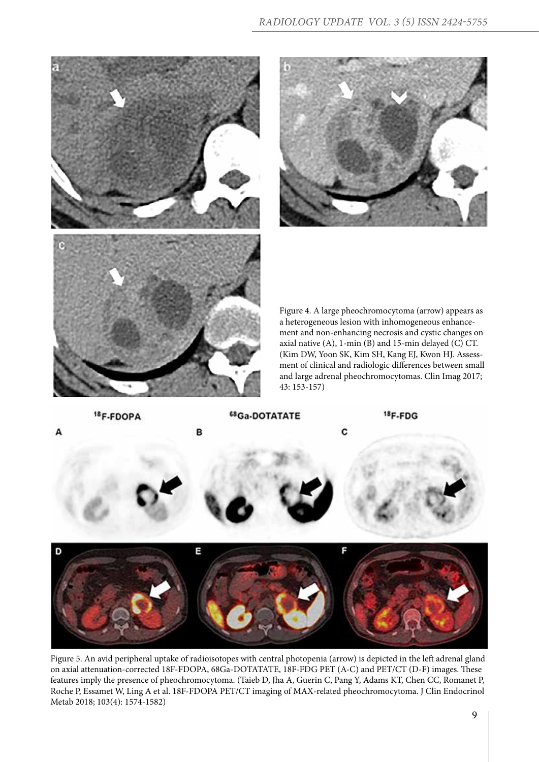



Figure 4. A large pheochromocytoma (arrow) appears as a heterogeneous lesion with inhomogeneous enhancement and non-enhancing necrosis and cystic changes on axial native (A), 1-min (B) and 15-min delayed (C) CT. (Kim DW, Yoon SK, Kim SH, Kang EJ, Kwon HJ. Assessment of clinical and radiologic differences between small and large adrenal pheochromocytomas. Clin Imag 2017; 43: 153-157)



Figure 5. An avid peripheral uptake of radioisotopes with central photopenia (arrow) is depicted in the left adrenal gland on axial attenuation-corrected 18F-FDOPA, 68Ga-DOTATATE, 18F-FDG PET (A-C) and PET/CT (D-F) images. These features imply the presence of pheochromocytoma. (Taieb D, Jha A, Guerin C, Pang Y, Adams KT, Chen CC, Romanet P, Roche P, Essamet W, Ling A et al. 18F-FDOPA PET/CT imaging of MAX-related pheochromocytoma. J Clin Endocrinol Metab 2018; 103(4): 1574-1582)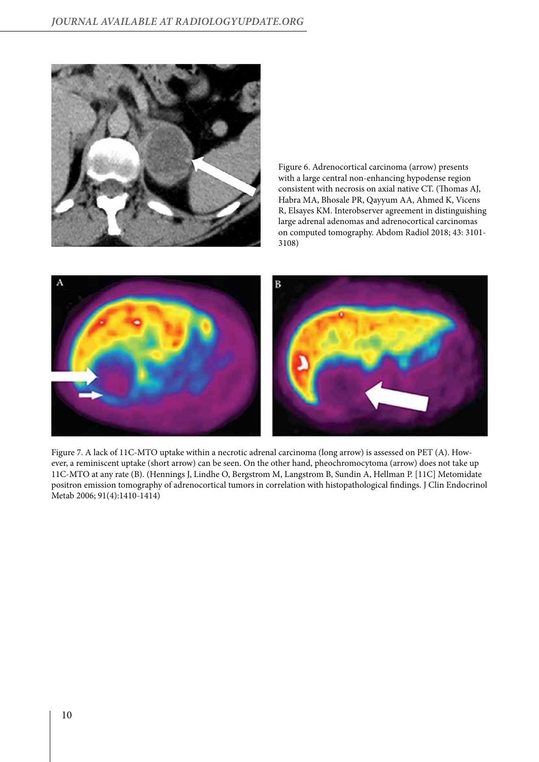

Figure 6. Adrenocortical carcinoma (arrow) presents with a large central non-enhancing hypodense region consistent with necrosis on axial native CT. (Thomas AJ, Habra MA, Bhosale PR, Qayyum AA, Ahmed K, Vicens R, Elsayes KM. Interobserver agreement in distinguishing large adrenal adenomas and adrenocortical carcinomas on computed tomography. Abdom Radiol 2018; 43: 3101- 3108)



Figure 7. A lack of 11C-MTO uptake within a necrotic adrenal carcinoma (long arrow) is assessed on PET (A). However, a reminiscent uptake (short arrow) can be seen. On the other hand, pheochromocytoma (arrow) does not take up 11C-MTO at any rate (B). (Hennings J, Lindhe O, Bergstrom M, Langstrom B, Sundin A, Hellman P. [11C] Metomidate positron emission tomography of adrenocortical tumors in correlation with histopathological findings. J Clin Endocrinol Metab 2006; 91(4):1410-1414)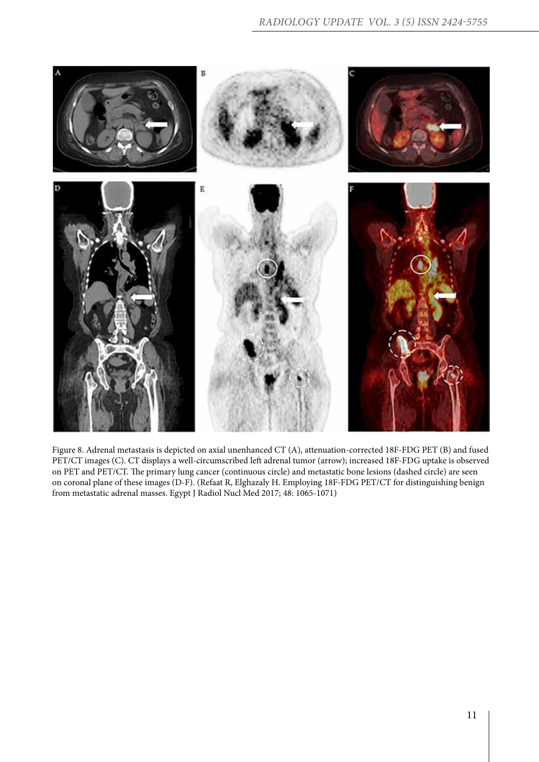

Figure 8. Adrenal metastasis is depicted on axial unenhanced CT (A), attenuation-corrected 18F-FDG PET (B) and fused PET/CT images (C). CT displays a well-circumscribed left adrenal tumor (arrow); increased 18F-FDG uptake is observed on PET and PET/CT. The primary lung cancer (continuous circle) and metastatic bone lesions (dashed circle) are seen on coronal plane of these images (D-F). (Refaat R, Elghazaly H. Employing 18F-FDG PET/CT for distinguishing benign from metastatic adrenal masses. Egypt J Radiol Nucl Med 2017; 48: 1065-1071)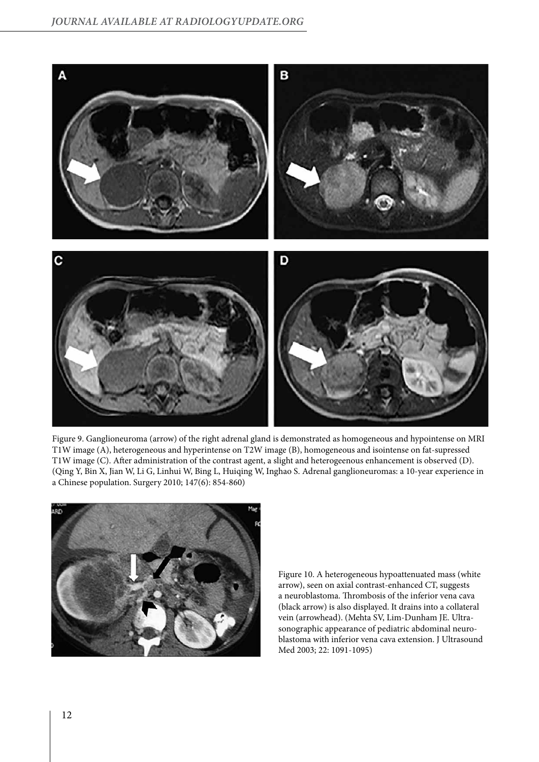

Figure 9. Ganglioneuroma (arrow) of the right adrenal gland is demonstrated as homogeneous and hypointense on MRI T1W image (A), heterogeneous and hyperintense on T2W image (B), homogeneous and isointense on fat-supressed T1W image (C). After administration of the contrast agent, a slight and heterogeenous enhancement is observed (D). (Qing Y, Bin X, Jian W, Li G, Linhui W, Bing L, Huiqing W, Inghao S. Adrenal ganglioneuromas: a 10-year experience in a Chinese population. Surgery 2010; 147(6): 854-860)



Figure 10. A heterogeneous hypoattenuated mass (white arrow), seen on axial contrast-enhanced CT, suggests a neuroblastoma. Thrombosis of the inferior vena cava (black arrow) is also displayed. It drains into a collateral vein (arrowhead). (Mehta SV, Lim-Dunham JE. Ultrasonographic appearance of pediatric abdominal neuroblastoma with inferior vena cava extension. J Ultrasound Med 2003; 22: 1091-1095)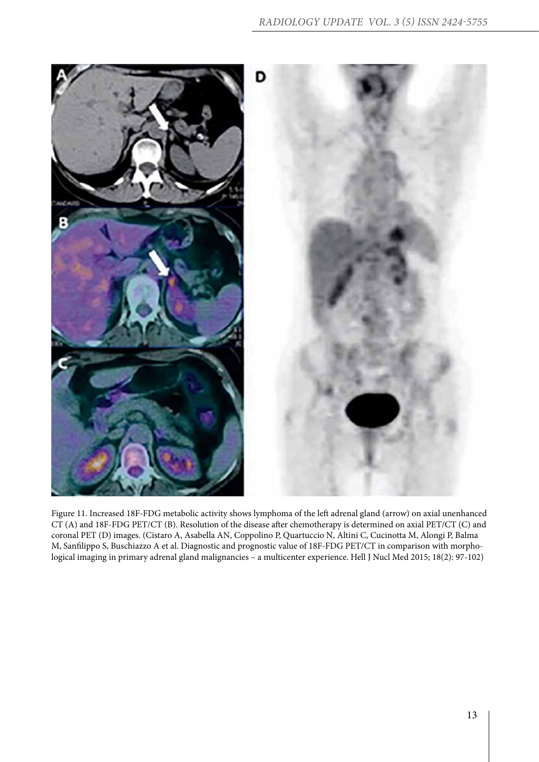

Figure 11. Increased 18F-FDG metabolic activity shows lymphoma of the left adrenal gland (arrow) on axial unenhanced CT (A) and 18F-FDG PET/CT (B). Resolution of the disease after chemotherapy is determined on axial PET/CT (C) and coronal PET (D) images. (Cistaro A, Asabella AN, Coppolino P, Quartuccio N, Altini C, Cucinotta M, Alongi P, Balma M, Sanfilippo S, Buschiazzo A et al. Diagnostic and prognostic value of 18F-FDG PET/CT in comparison with morphological imaging in primary adrenal gland malignancies – a multicenter experience. Hell J Nucl Med 2015; 18(2): 97-102)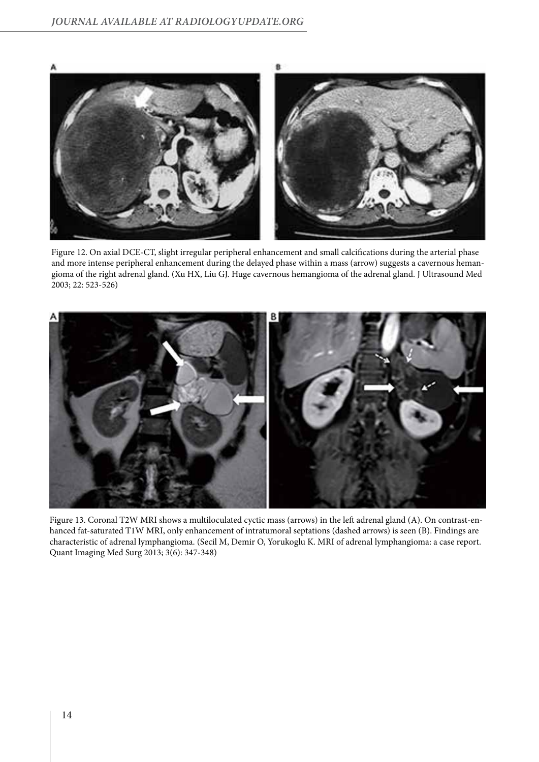

Figure 12. On axial DCE-CT, slight irregular peripheral enhancement and small calcifications during the arterial phase and more intense peripheral enhancement during the delayed phase within a mass (arrow) suggests a cavernous hemangioma of the right adrenal gland. (Xu HX, Liu GJ. Huge cavernous hemangioma of the adrenal gland. J Ultrasound Med 2003; 22: 523-526)



Figure 13. Coronal T2W MRI shows a multiloculated cyctic mass (arrows) in the left adrenal gland (A). On contrast-enhanced fat-saturated T1W MRI, only enhancement of intratumoral septations (dashed arrows) is seen (B). Findings are characteristic of adrenal lymphangioma. (Secil M, Demir O, Yorukoglu K. MRI of adrenal lymphangioma: a case report. Quant Imaging Med Surg 2013; 3(6): 347-348)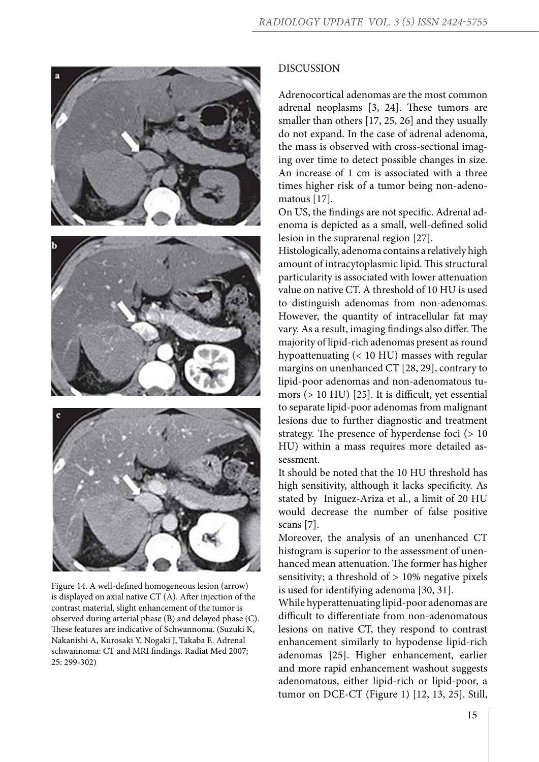

Figure 14. A well-defined homogeneous lesion (arrow) is displayed on axial native CT (A). After injection of the contrast material, slight enhancement of the tumor is observed during arterial phase (B) and delayed phase (C). These features are indicative of Schwannoma. (Suzuki K, Nakanishi A, Kurosaki Y, Nogaki J, Takaba E. Adrenal schwannoma: CT and MRI findings. Radiat Med 2007; 25: 299-302)

#### DISCUSSION

Adrenocortical adenomas are the most common adrenal neoplasms [3, 24]. These tumors are smaller than others [17, 25, 26] and they usually do not expand. In the case of adrenal adenoma, the mass is observed with cross-sectional imaging over time to detect possible changes in size. An increase of 1 cm is associated with a three times higher risk of a tumor being non-adenomatous [17].

On US, the findings are not specific. Adrenal adenoma is depicted as a small, well-defined solid lesion in the suprarenal region [27].

Histologically, adenoma contains a relatively high amount of intracytoplasmic lipid. This structural particularity is associated with lower attenuation value on native CT. A threshold of 10 HU is used to distinguish adenomas from non-adenomas. However, the quantity of intracellular fat may vary. As a result, imaging findings also differ. The majority of lipid-rich adenomas present as round hypoattenuating (< 10 HU) masses with regular margins on unenhanced CT [28, 29], contrary to lipid-poor adenomas and non-adenomatous tumors (> 10 HU) [25]. It is difficult, yet essential to separate lipid-poor adenomas from malignant lesions due to further diagnostic and treatment strategy. The presence of hyperdense foci (> 10 HU) within a mass requires more detailed assessment.

It should be noted that the 10 HU threshold has high sensitivity, although it lacks specificity. As stated by Iniguez-Ariza et al., a limit of 20 HU would decrease the number of false positive scans [7].

Moreover, the analysis of an unenhanced CT histogram is superior to the assessment of unenhanced mean attenuation. The former has higher sensitivity; a threshold of  $> 10\%$  negative pixels is used for identifying adenoma [30, 31].

While hyperattenuating lipid-poor adenomas are difficult to differentiate from non-adenomatous lesions on native CT, they respond to contrast enhancement similarly to hypodense lipid-rich adenomas [25]. Higher enhancement, earlier and more rapid enhancement washout suggests adenomatous, either lipid-rich or lipid-poor, a tumor on DCE-CT (Figure 1) [12, 13, 25]. Still,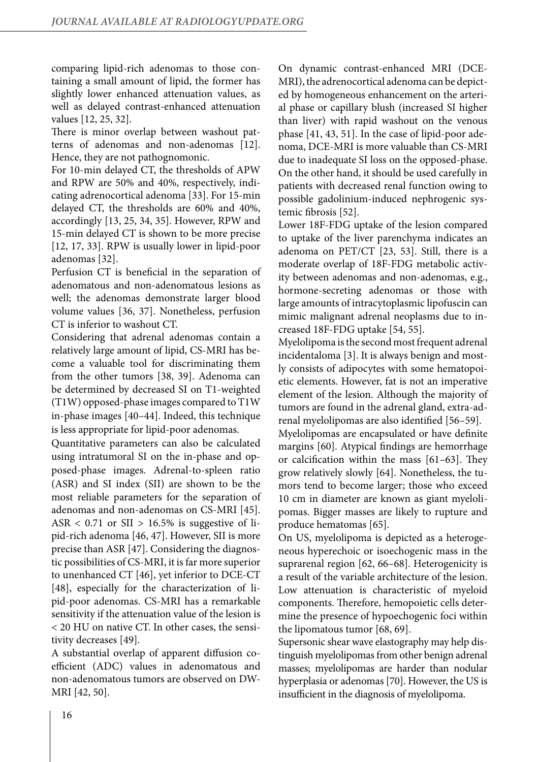comparing lipid-rich adenomas to those containing a small amount of lipid, the former has slightly lower enhanced attenuation values, as well as delayed contrast-enhanced attenuation values [12, 25, 32].

There is minor overlap between washout patterns of adenomas and non-adenomas [12]. Hence, they are not pathognomonic.

For 10-min delayed CT, the thresholds of APW and RPW are 50% and 40%, respectively, indicating adrenocortical adenoma [33]. For 15-min delayed CT, the thresholds are 60% and 40%, accordingly [13, 25, 34, 35]. However, RPW and 15-min delayed CT is shown to be more precise [12, 17, 33]. RPW is usually lower in lipid-poor adenomas [32].

Perfusion CT is beneficial in the separation of adenomatous and non-adenomatous lesions as well; the adenomas demonstrate larger blood volume values [36, 37]. Nonetheless, perfusion CT is inferior to washout CT.

Considering that adrenal adenomas contain a relatively large amount of lipid, CS-MRI has become a valuable tool for discriminating them from the other tumors [38, 39]. Adenoma can be determined by decreased SI on T1-weighted (T1W) opposed-phase images compared to T1W in-phase images [40–44]. Indeed, this technique is less appropriate for lipid-poor adenomas.

Quantitative parameters can also be calculated using intratumoral SI on the in-phase and opposed-phase images. Adrenal-to-spleen ratio (ASR) and SI index (SII) are shown to be the most reliable parameters for the separation of adenomas and non-adenomas on CS-MRI [45]. ASR  $< 0.71$  or SII  $> 16.5\%$  is suggestive of lipid-rich adenoma [46, 47]. However, SII is more precise than ASR [47]. Considering the diagnostic possibilities of CS-MRI, it is far more superior to unenhanced CT [46], yet inferior to DCE-CT [48], especially for the characterization of lipid-poor adenomas. CS-MRI has a remarkable sensitivity if the attenuation value of the lesion is < 20 HU on native CT. In other cases, the sensitivity decreases [49].

A substantial overlap of apparent diffusion coefficient (ADC) values in adenomatous and non-adenomatous tumors are observed on DW-MRI [42, 50].

On dynamic contrast-enhanced MRI (DCE-MRI), the adrenocortical adenoma can be depicted by homogeneous enhancement on the arterial phase or capillary blush (increased SI higher than liver) with rapid washout on the venous phase [41, 43, 51]. In the case of lipid-poor adenoma, DCE-MRI is more valuable than CS-MRI due to inadequate SI loss on the opposed-phase. On the other hand, it should be used carefully in patients with decreased renal function owing to possible gadolinium-induced nephrogenic systemic fibrosis [52].

Lower 18F-FDG uptake of the lesion compared to uptake of the liver parenchyma indicates an adenoma on PET/CT [23, 53]. Still, there is a moderate overlap of 18F-FDG metabolic activity between adenomas and non-adenomas, e.g., hormone-secreting adenomas or those with large amounts of intracytoplasmic lipofuscin can mimic malignant adrenal neoplasms due to increased 18F-FDG uptake [54, 55].

Myelolipoma is the second most frequent adrenal incidentaloma [3]. It is always benign and mostly consists of adipocytes with some hematopoietic elements. However, fat is not an imperative element of the lesion. Although the majority of tumors are found in the adrenal gland, extra-adrenal myelolipomas are also identified [56–59].

Myelolipomas are encapsulated or have definite margins [60]. Atypical findings are hemorrhage or calcification within the mass [61–63]. They grow relatively slowly [64]. Nonetheless, the tumors tend to become larger; those who exceed 10 cm in diameter are known as giant myelolipomas. Bigger masses are likely to rupture and produce hematomas [65].

On US, myelolipoma is depicted as a heterogeneous hyperechoic or isoechogenic mass in the suprarenal region [62, 66–68]. Heterogenicity is a result of the variable architecture of the lesion. Low attenuation is characteristic of myeloid components. Therefore, hemopoietic cells determine the presence of hypoechogenic foci within the lipomatous tumor [68, 69].

Supersonic shear wave elastography may help distinguish myelolipomas from other benign adrenal masses; myelolipomas are harder than nodular hyperplasia or adenomas [70]. However, the US is insufficient in the diagnosis of myelolipoma.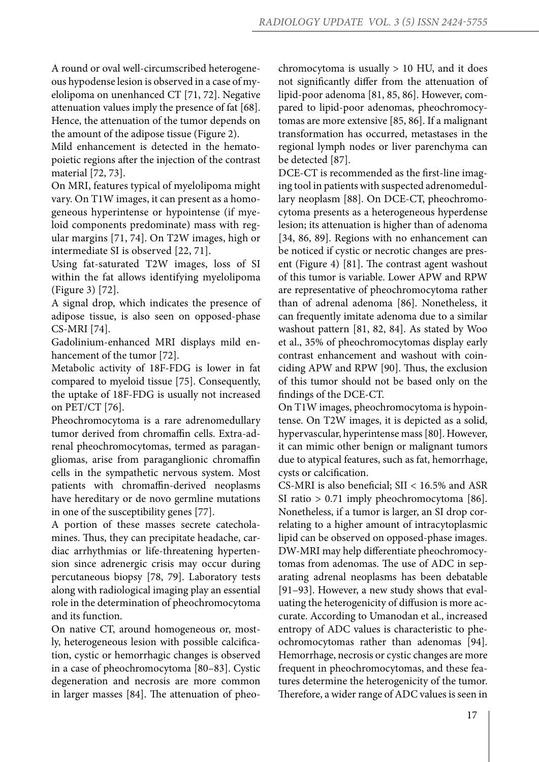A round or oval well-circumscribed heterogeneous hypodense lesion is observed in a case of myelolipoma on unenhanced CT [71, 72]. Negative attenuation values imply the presence of fat [68]. Hence, the attenuation of the tumor depends on the amount of the adipose tissue (Figure 2).

Mild enhancement is detected in the hematopoietic regions after the injection of the contrast material [72, 73].

On MRI, features typical of myelolipoma might vary. On T1W images, it can present as a homogeneous hyperintense or hypointense (if myeloid components predominate) mass with regular margins [71, 74]. On T2W images, high or intermediate SI is observed [22, 71].

Using fat-saturated T2W images, loss of SI within the fat allows identifying myelolipoma (Figure 3) [72].

A signal drop, which indicates the presence of adipose tissue, is also seen on opposed-phase CS-MRI [74].

Gadolinium-enhanced MRI displays mild enhancement of the tumor [72].

Metabolic activity of 18F-FDG is lower in fat compared to myeloid tissue [75]. Consequently, the uptake of 18F-FDG is usually not increased on PET/CT [76].

Pheochromocytoma is a rare adrenomedullary tumor derived from chromaffin cells. Extra-adrenal pheochromocytomas, termed as paragangliomas, arise from paraganglionic chromaffin cells in the sympathetic nervous system. Most patients with chromaffin-derived neoplasms have hereditary or de novo germline mutations in one of the susceptibility genes [77].

A portion of these masses secrete catecholamines. Thus, they can precipitate headache, cardiac arrhythmias or life-threatening hypertension since adrenergic crisis may occur during percutaneous biopsy [78, 79]. Laboratory tests along with radiological imaging play an essential role in the determination of pheochromocytoma and its function.

On native CT, around homogeneous or, mostly, heterogeneous lesion with possible calcification, cystic or hemorrhagic changes is observed in a case of pheochromocytoma [80–83]. Cystic degeneration and necrosis are more common in larger masses [84]. The attenuation of pheochromocytoma is usually > 10 HU, and it does not significantly differ from the attenuation of lipid-poor adenoma [81, 85, 86]. However, compared to lipid-poor adenomas, pheochromocytomas are more extensive [85, 86]. If a malignant transformation has occurred, metastases in the regional lymph nodes or liver parenchyma can be detected [87].

DCE-CT is recommended as the first-line imaging tool in patients with suspected adrenomedullary neoplasm [88]. On DCE-CT, pheochromocytoma presents as a heterogeneous hyperdense lesion; its attenuation is higher than of adenoma [34, 86, 89]. Regions with no enhancement can be noticed if cystic or necrotic changes are present (Figure 4) [81]. The contrast agent washout of this tumor is variable. Lower APW and RPW are representative of pheochromocytoma rather than of adrenal adenoma [86]. Nonetheless, it can frequently imitate adenoma due to a similar washout pattern [81, 82, 84]. As stated by Woo et al., 35% of pheochromocytomas display early contrast enhancement and washout with coinciding APW and RPW [90]. Thus, the exclusion of this tumor should not be based only on the findings of the DCE-CT.

On T1W images, pheochromocytoma is hypointense. On T2W images, it is depicted as a solid, hypervascular, hyperintense mass [80]. However, it can mimic other benign or malignant tumors due to atypical features, such as fat, hemorrhage, cysts or calcification.

CS-MRI is also beneficial; SII < 16.5% and ASR SI ratio > 0.71 imply pheochromocytoma [86]. Nonetheless, if a tumor is larger, an SI drop correlating to a higher amount of intracytoplasmic lipid can be observed on opposed-phase images. DW-MRI may help differentiate pheochromocytomas from adenomas. The use of ADC in separating adrenal neoplasms has been debatable [91–93]. However, a new study shows that evaluating the heterogenicity of diffusion is more accurate. According to Umanodan et al., increased entropy of ADC values is characteristic to pheochromocytomas rather than adenomas [94]. Hemorrhage, necrosis or cystic changes are more frequent in pheochromocytomas, and these features determine the heterogenicity of the tumor. Therefore, a wider range of ADC values is seen in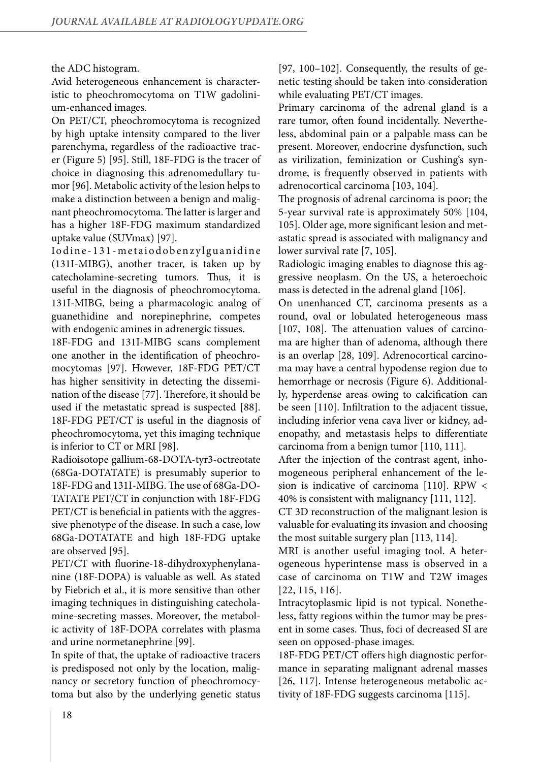the ADC histogram.

Avid heterogeneous enhancement is characteristic to pheochromocytoma on T1W gadolinium-enhanced images.

On PET/CT, pheochromocytoma is recognized by high uptake intensity compared to the liver parenchyma, regardless of the radioactive tracer (Figure 5) [95]. Still, 18F-FDG is the tracer of choice in diagnosing this adrenomedullary tumor [96]. Metabolic activity of the lesion helps to make a distinction between a benign and malignant pheochromocytoma. The latter is larger and has a higher 18F-FDG maximum standardized uptake value (SUVmax) [97].

Iodine - 131 - metaiodobenzylguanidine (131I-MIBG), another tracer, is taken up by catecholamine-secreting tumors. Thus, it is useful in the diagnosis of pheochromocytoma. 131I-MIBG, being a pharmacologic analog of guanethidine and norepinephrine, competes with endogenic amines in adrenergic tissues.

18F-FDG and 131I-MIBG scans complement one another in the identification of pheochromocytomas [97]. However, 18F-FDG PET/CT has higher sensitivity in detecting the dissemination of the disease [77]. Therefore, it should be used if the metastatic spread is suspected [88]. 18F-FDG PET/CT is useful in the diagnosis of pheochromocytoma, yet this imaging technique is inferior to CT or MRI [98].

Radioisotope gallium-68-DOTA-tyr3-octreotate (68Ga-DOTATATE) is presumably superior to 18F-FDG and 131I-MIBG. The use of 68Ga-DO-TATATE PET/CT in conjunction with 18F-FDG PET/CT is beneficial in patients with the aggressive phenotype of the disease. In such a case, low 68Ga-DOTATATE and high 18F-FDG uptake are observed [95].

PET/CT with fluorine-18-dihydroxyphenylananine (18F-DOPA) is valuable as well. As stated by Fiebrich et al., it is more sensitive than other imaging techniques in distinguishing catecholamine-secreting masses. Moreover, the metabolic activity of 18F-DOPA correlates with plasma and urine normetanephrine [99].

In spite of that, the uptake of radioactive tracers is predisposed not only by the location, malignancy or secretory function of pheochromocytoma but also by the underlying genetic status [97, 100–102]. Consequently, the results of genetic testing should be taken into consideration while evaluating PET/CT images.

Primary carcinoma of the adrenal gland is a rare tumor, often found incidentally. Nevertheless, abdominal pain or a palpable mass can be present. Moreover, endocrine dysfunction, such as virilization, feminization or Cushing's syndrome, is frequently observed in patients with adrenocortical carcinoma [103, 104].

The prognosis of adrenal carcinoma is poor; the 5-year survival rate is approximately 50% [104, 105]. Older age, more significant lesion and metastatic spread is associated with malignancy and lower survival rate [7, 105].

Radiologic imaging enables to diagnose this aggressive neoplasm. On the US, a heteroechoic mass is detected in the adrenal gland [106].

On unenhanced CT, carcinoma presents as a round, oval or lobulated heterogeneous mass [107, 108]. The attenuation values of carcinoma are higher than of adenoma, although there is an overlap [28, 109]. Adrenocortical carcinoma may have a central hypodense region due to hemorrhage or necrosis (Figure 6). Additionally, hyperdense areas owing to calcification can be seen [110]. Infiltration to the adjacent tissue, including inferior vena cava liver or kidney, adenopathy, and metastasis helps to differentiate carcinoma from a benign tumor [110, 111].

After the injection of the contrast agent, inhomogeneous peripheral enhancement of the lesion is indicative of carcinoma [110]. RPW < 40% is consistent with malignancy [111, 112].

CT 3D reconstruction of the malignant lesion is valuable for evaluating its invasion and choosing the most suitable surgery plan [113, 114].

MRI is another useful imaging tool. A heterogeneous hyperintense mass is observed in a case of carcinoma on T1W and T2W images [22, 115, 116].

Intracytoplasmic lipid is not typical. Nonetheless, fatty regions within the tumor may be present in some cases. Thus, foci of decreased SI are seen on opposed-phase images.

18F-FDG PET/CT offers high diagnostic performance in separating malignant adrenal masses [26, 117]. Intense heterogeneous metabolic activity of 18F-FDG suggests carcinoma [115].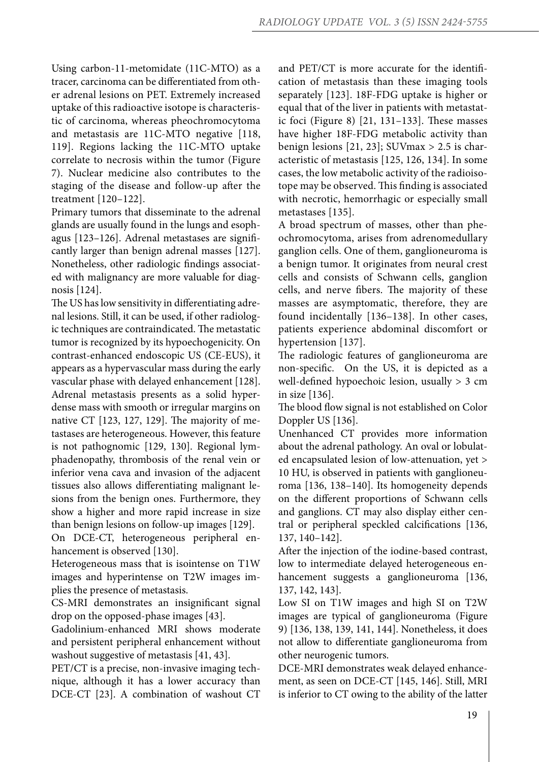Using carbon-11-metomidate (11C-MTO) as a tracer, carcinoma can be differentiated from other adrenal lesions on PET. Extremely increased uptake of this radioactive isotope is characteristic of carcinoma, whereas pheochromocytoma and metastasis are 11C-MTO negative [118, 119]. Regions lacking the 11C-MTO uptake correlate to necrosis within the tumor (Figure 7). Nuclear medicine also contributes to the staging of the disease and follow-up after the treatment [120–122].

Primary tumors that disseminate to the adrenal glands are usually found in the lungs and esophagus [123–126]. Adrenal metastases are significantly larger than benign adrenal masses [127]. Nonetheless, other radiologic findings associated with malignancy are more valuable for diagnosis [124].

The US has low sensitivity in differentiating adrenal lesions. Still, it can be used, if other radiologic techniques are contraindicated. The metastatic tumor is recognized by its hypoechogenicity. On contrast-enhanced endoscopic US (CE-EUS), it appears as a hypervascular mass during the early vascular phase with delayed enhancement [128]. Adrenal metastasis presents as a solid hyperdense mass with smooth or irregular margins on native CT [123, 127, 129]. The majority of metastases are heterogeneous. However, this feature is not pathognomic [129, 130]. Regional lymphadenopathy, thrombosis of the renal vein or inferior vena cava and invasion of the adjacent tissues also allows differentiating malignant lesions from the benign ones. Furthermore, they show a higher and more rapid increase in size than benign lesions on follow-up images [129].

On DCE-CT, heterogeneous peripheral enhancement is observed [130].

Heterogeneous mass that is isointense on T1W images and hyperintense on T2W images implies the presence of metastasis.

CS-MRI demonstrates an insignificant signal drop on the opposed-phase images [43].

Gadolinium-enhanced MRI shows moderate and persistent peripheral enhancement without washout suggestive of metastasis [41, 43].

PET/CT is a precise, non-invasive imaging technique, although it has a lower accuracy than DCE-CT [23]. A combination of washout CT and PET/CT is more accurate for the identification of metastasis than these imaging tools separately [123]. 18F-FDG uptake is higher or equal that of the liver in patients with metastatic foci (Figure 8) [21, 131–133]. These masses have higher 18F-FDG metabolic activity than benign lesions [21, 23]; SUVmax > 2.5 is characteristic of metastasis [125, 126, 134]. In some cases, the low metabolic activity of the radioisotope may be observed. This finding is associated with necrotic, hemorrhagic or especially small metastases [135].

A broad spectrum of masses, other than pheochromocytoma, arises from adrenomedullary ganglion cells. One of them, ganglioneuroma is a benign tumor. It originates from neural crest cells and consists of Schwann cells, ganglion cells, and nerve fibers. The majority of these masses are asymptomatic, therefore, they are found incidentally [136–138]. In other cases, patients experience abdominal discomfort or hypertension [137].

The radiologic features of ganglioneuroma are non-specific. On the US, it is depicted as a well-defined hypoechoic lesion, usually > 3 cm in size [136].

The blood flow signal is not established on Color Doppler US [136].

Unenhanced CT provides more information about the adrenal pathology. An oval or lobulated encapsulated lesion of low-attenuation, yet > 10 HU, is observed in patients with ganglioneuroma [136, 138–140]. Its homogeneity depends on the different proportions of Schwann cells and ganglions. CT may also display either central or peripheral speckled calcifications [136, 137, 140–142].

After the injection of the iodine-based contrast, low to intermediate delayed heterogeneous enhancement suggests a ganglioneuroma [136, 137, 142, 143].

Low SI on T1W images and high SI on T2W images are typical of ganglioneuroma (Figure 9) [136, 138, 139, 141, 144]. Nonetheless, it does not allow to differentiate ganglioneuroma from other neurogenic tumors.

DCE-MRI demonstrates weak delayed enhancement, as seen on DCE-CT [145, 146]. Still, MRI is inferior to CT owing to the ability of the latter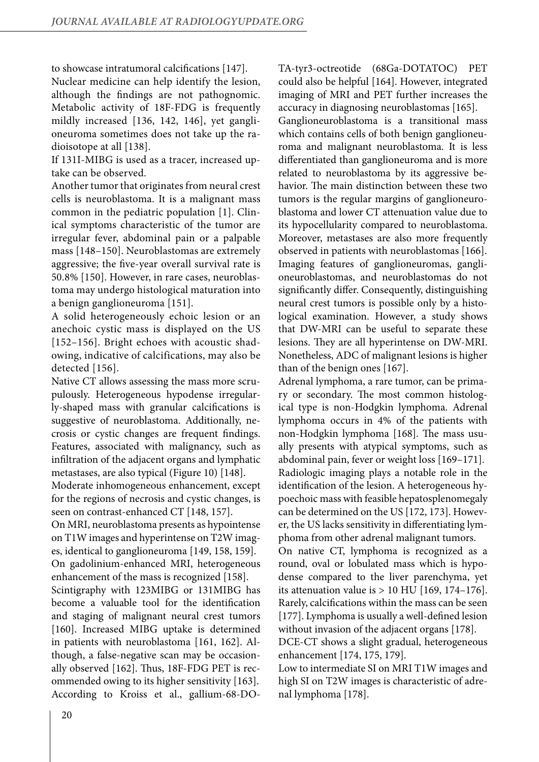to showcase intratumoral calcifications [147].

Nuclear medicine can help identify the lesion, although the findings are not pathognomic. Metabolic activity of 18F-FDG is frequently mildly increased [136, 142, 146], yet ganglioneuroma sometimes does not take up the radioisotope at all [138].

If 131I-MIBG is used as a tracer, increased uptake can be observed.

Another tumor that originates from neural crest cells is neuroblastoma. It is a malignant mass common in the pediatric population [1]. Clinical symptoms characteristic of the tumor are irregular fever, abdominal pain or a palpable mass [148–150]. Neuroblastomas are extremely aggressive; the five-year overall survival rate is 50.8% [150]. However, in rare cases, neuroblastoma may undergo histological maturation into a benign ganglioneuroma [151].

A solid heterogeneously echoic lesion or an anechoic cystic mass is displayed on the US [152–156]. Bright echoes with acoustic shadowing, indicative of calcifications, may also be detected [156].

Native CT allows assessing the mass more scrupulously. Heterogeneous hypodense irregularly-shaped mass with granular calcifications is suggestive of neuroblastoma. Additionally, necrosis or cystic changes are frequent findings. Features, associated with malignancy, such as infiltration of the adjacent organs and lymphatic metastases, are also typical (Figure 10) [148].

Moderate inhomogeneous enhancement, except for the regions of necrosis and cystic changes, is seen on contrast-enhanced CT [148, 157].

On MRI, neuroblastoma presents as hypointense on T1W images and hyperintense on T2W images, identical to ganglioneuroma [149, 158, 159].

On gadolinium-enhanced MRI, heterogeneous enhancement of the mass is recognized [158].

Scintigraphy with 123MIBG or 131MIBG has become a valuable tool for the identification and staging of malignant neural crest tumors [160]. Increased MIBG uptake is determined in patients with neuroblastoma [161, 162]. Although, a false-negative scan may be occasionally observed [162]. Thus, 18F-FDG PET is recommended owing to its higher sensitivity [163]. According to Kroiss et al., gallium-68-DO-

TA-tyr3-octreotide (68Ga-DOTATOC) PET could also be helpful [164]. However, integrated imaging of MRI and PET further increases the accuracy in diagnosing neuroblastomas [165]. Ganglioneuroblastoma is a transitional mass which contains cells of both benign ganglioneuroma and malignant neuroblastoma. It is less differentiated than ganglioneuroma and is more related to neuroblastoma by its aggressive behavior. The main distinction between these two tumors is the regular margins of ganglioneuroblastoma and lower CT attenuation value due to its hypocellularity compared to neuroblastoma. Moreover, metastases are also more frequently observed in patients with neuroblastomas [166]. Imaging features of ganglioneuromas, ganglioneuroblastomas, and neuroblastomas do not significantly differ. Consequently, distinguishing neural crest tumors is possible only by a histological examination. However, a study shows that DW-MRI can be useful to separate these lesions. They are all hyperintense on DW-MRI. Nonetheless, ADC of malignant lesions is higher than of the benign ones [167].

Adrenal lymphoma, a rare tumor, can be primary or secondary. The most common histological type is non-Hodgkin lymphoma. Adrenal lymphoma occurs in 4% of the patients with non-Hodgkin lymphoma [168]. The mass usually presents with atypical symptoms, such as abdominal pain, fever or weight loss [169–171]. Radiologic imaging plays a notable role in the identification of the lesion. A heterogeneous hypoechoic mass with feasible hepatosplenomegaly can be determined on the US [172, 173]. However, the US lacks sensitivity in differentiating lymphoma from other adrenal malignant tumors.

On native CT, lymphoma is recognized as a round, oval or lobulated mass which is hypodense compared to the liver parenchyma, yet its attenuation value is  $> 10$  HU [169, 174-176]. Rarely, calcifications within the mass can be seen [177]. Lymphoma is usually a well-defined lesion without invasion of the adjacent organs [178].

DCE-CT shows a slight gradual, heterogeneous enhancement [174, 175, 179].

Low to intermediate SI on MRI T1W images and high SI on T2W images is characteristic of adrenal lymphoma [178].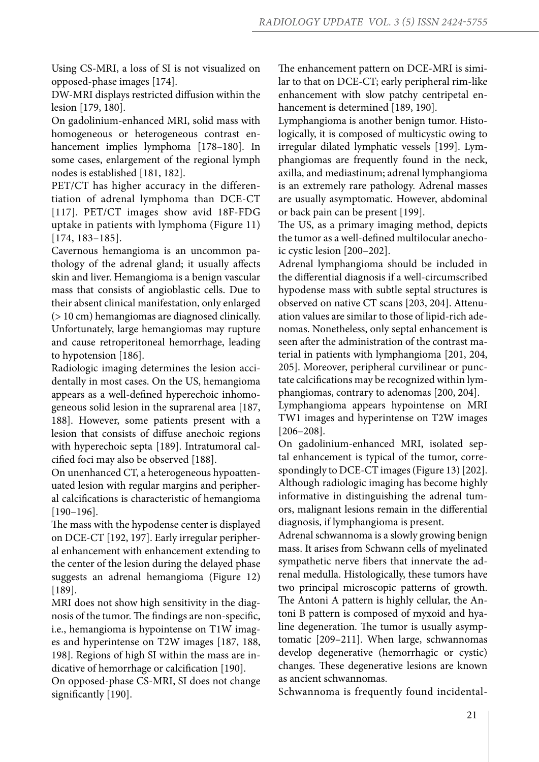Using CS-MRI, a loss of SI is not visualized on opposed-phase images [174].

DW-MRI displays restricted diffusion within the lesion [179, 180].

On gadolinium-enhanced MRI, solid mass with homogeneous or heterogeneous contrast enhancement implies lymphoma [178–180]. In some cases, enlargement of the regional lymph nodes is established [181, 182].

PET/CT has higher accuracy in the differentiation of adrenal lymphoma than DCE-CT [117]. PET/CT images show avid 18F-FDG uptake in patients with lymphoma (Figure 11) [174, 183–185].

Cavernous hemangioma is an uncommon pathology of the adrenal gland; it usually affects skin and liver. Hemangioma is a benign vascular mass that consists of angioblastic cells. Due to their absent clinical manifestation, only enlarged (> 10 cm) hemangiomas are diagnosed clinically. Unfortunately, large hemangiomas may rupture and cause retroperitoneal hemorrhage, leading to hypotension [186].

Radiologic imaging determines the lesion accidentally in most cases. On the US, hemangioma appears as a well-defined hyperechoic inhomogeneous solid lesion in the suprarenal area [187, 188]. However, some patients present with a lesion that consists of diffuse anechoic regions with hyperechoic septa [189]. Intratumoral calcified foci may also be observed [188].

On unenhanced CT, a heterogeneous hypoattenuated lesion with regular margins and peripheral calcifications is characteristic of hemangioma [190–196].

The mass with the hypodense center is displayed on DCE-CT [192, 197]. Early irregular peripheral enhancement with enhancement extending to the center of the lesion during the delayed phase suggests an adrenal hemangioma (Figure 12) [189].

MRI does not show high sensitivity in the diagnosis of the tumor. The findings are non-specific, i.e., hemangioma is hypointense on T1W images and hyperintense on T2W images [187, 188, 198]. Regions of high SI within the mass are indicative of hemorrhage or calcification [190].

On opposed-phase CS-MRI, SI does not change significantly [190].

The enhancement pattern on DCE-MRI is similar to that on DCE-CT; early peripheral rim-like enhancement with slow patchy centripetal enhancement is determined [189, 190].

Lymphangioma is another benign tumor. Histologically, it is composed of multicystic owing to irregular dilated lymphatic vessels [199]. Lymphangiomas are frequently found in the neck, axilla, and mediastinum; adrenal lymphangioma is an extremely rare pathology. Adrenal masses are usually asymptomatic. However, abdominal or back pain can be present [199].

The US, as a primary imaging method, depicts the tumor as a well-defined multilocular anechoic cystic lesion [200–202].

Adrenal lymphangioma should be included in the differential diagnosis if a well-circumscribed hypodense mass with subtle septal structures is observed on native CT scans [203, 204]. Attenuation values are similar to those of lipid-rich adenomas. Nonetheless, only septal enhancement is seen after the administration of the contrast material in patients with lymphangioma [201, 204, 205]. Moreover, peripheral curvilinear or punctate calcifications may be recognized within lymphangiomas, contrary to adenomas [200, 204].

Lymphangioma appears hypointense on MRI TW1 images and hyperintense on T2W images [206–208].

On gadolinium-enhanced MRI, isolated septal enhancement is typical of the tumor, correspondingly to DCE-CT images (Figure 13) [202]. Although radiologic imaging has become highly informative in distinguishing the adrenal tumors, malignant lesions remain in the differential diagnosis, if lymphangioma is present.

Adrenal schwannoma is a slowly growing benign mass. It arises from Schwann cells of myelinated sympathetic nerve fibers that innervate the adrenal medulla. Histologically, these tumors have two principal microscopic patterns of growth. The Antoni A pattern is highly cellular, the Antoni B pattern is composed of myxoid and hyaline degeneration. The tumor is usually asymptomatic [209–211]. When large, schwannomas develop degenerative (hemorrhagic or cystic) changes. These degenerative lesions are known as ancient schwannomas.

Schwannoma is frequently found incidental-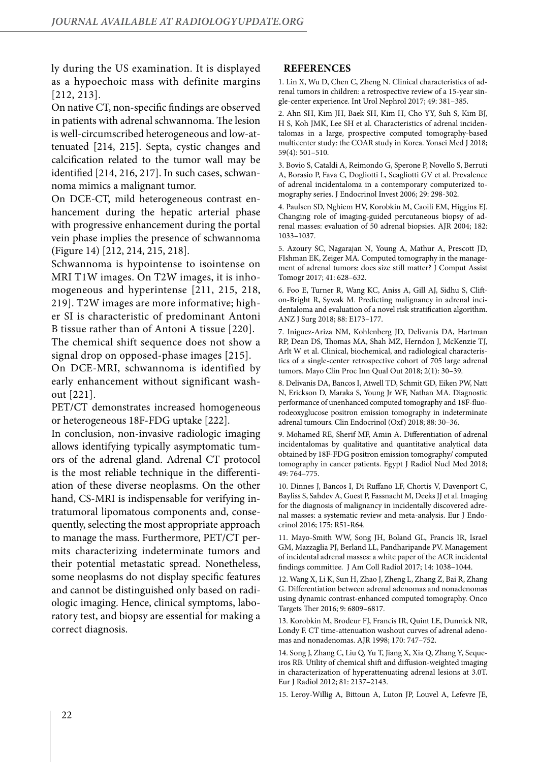ly during the US examination. It is displayed as a hypoechoic mass with definite margins [212, 213].

On native CT, non-specific findings are observed in patients with adrenal schwannoma. The lesion is well-circumscribed heterogeneous and low-attenuated [214, 215]. Septa, cystic changes and calcification related to the tumor wall may be identified [214, 216, 217]. In such cases, schwannoma mimics a malignant tumor.

On DCE-CT, mild heterogeneous contrast enhancement during the hepatic arterial phase with progressive enhancement during the portal vein phase implies the presence of schwannoma (Figure 14) [212, 214, 215, 218].

Schwannoma is hypointense to isointense on MRI T1W images. On T2W images, it is inhomogeneous and hyperintense [211, 215, 218, 219]. T2W images are more informative; higher SI is characteristic of predominant Antoni B tissue rather than of Antoni A tissue [220].

The chemical shift sequence does not show a signal drop on opposed-phase images [215].

On DCE-MRI, schwannoma is identified by early enhancement without significant washout [221].

PET/CT demonstrates increased homogeneous or heterogeneous 18F-FDG uptake [222].

In conclusion, non-invasive radiologic imaging allows identifying typically asymptomatic tumors of the adrenal gland. Adrenal CT protocol is the most reliable technique in the differentiation of these diverse neoplasms. On the other hand, CS-MRI is indispensable for verifying intratumoral lipomatous components and, consequently, selecting the most appropriate approach to manage the mass. Furthermore, PET/CT permits characterizing indeterminate tumors and their potential metastatic spread. Nonetheless, some neoplasms do not display specific features and cannot be distinguished only based on radiologic imaging. Hence, clinical symptoms, laboratory test, and biopsy are essential for making a correct diagnosis.

## **REFERENCES**

1. Lin X, Wu D, Chen C, Zheng N. Clinical characteristics of adrenal tumors in children: a retrospective review of a 15-year single-center experience. Int Urol Nephrol 2017; 49: 381–385.

2. Ahn SH, Kim JH, Baek SH, Kim H, Cho YY, Suh S, Kim BJ, H S, Koh JMK, Lee SH et al. Characteristics of adrenal incidentalomas in a large, prospective computed tomography-based multicenter study: the COAR study in Korea. Yonsei Med J 2018; 59(4): 501–510.

3. Bovio S, Cataldi A, Reimondo G, Sperone P, Novello S, Berruti A, Borasio P, Fava C, Dogliotti L, Scagliotti GV et al. Prevalence of adrenal incidentaloma in a contemporary computerized tomography series. J Endocrinol Invest 2006; 29: 298-302.

4. Paulsen SD, Nghiem HV, Korobkin M, Caoili EM, Higgins EJ. Changing role of imaging-guided percutaneous biopsy of adrenal masses: evaluation of 50 adrenal biopsies. AJR 2004; 182: 1033–1037.

5. Azoury SC, Nagarajan N, Young A, Mathur A, Prescott JD, FIshman EK, Zeiger MA. Computed tomography in the management of adrenal tumors: does size still matter? J Comput Assist Tomogr 2017; 41: 628–632.

6. Foo E, Turner R, Wang KC, Aniss A, Gill AJ, Sidhu S, Clifton-Bright R, Sywak M. Predicting malignancy in adrenal incidentaloma and evaluation of a novel risk stratification algorithm. ANZ J Surg 2018; 88: E173–177.

7. Iniguez-Ariza NM, Kohlenberg JD, Delivanis DA, Hartman RP, Dean DS, Thomas MA, Shah MZ, Herndon J, McKenzie TJ, Arlt W et al. Clinical, biochemical, and radiological characteristics of a single-center retrospective cohort of 705 large adrenal tumors. Mayo Clin Proc Inn Qual Out 2018; 2(1): 30–39.

8. Delivanis DA, Bancos I, Atwell TD, Schmit GD, Eiken PW, Natt N, Erickson D, Maraka S, Young Jr WF, Nathan MA. Diagnostic performance of unenhanced computed tomography and 18F-fluorodeoxyglucose positron emission tomography in indeterminate adrenal tumours. Clin Endocrinol (Oxf) 2018; 88: 30–36.

9. Mohamed RE, Sherif MF, Amin A. Differentiation of adrenal incidentalomas by qualitative and quantitative analytical data obtained by 18F-FDG positron emission tomography/ computed tomography in cancer patients. Egypt J Radiol Nucl Med 2018; 49: 764–775.

10. Dinnes J, Bancos I, Di Ruffano LF, Chortis V, Davenport C, Bayliss S, Sahdev A, Guest P, Fassnacht M, Deeks JJ et al. Imaging for the diagnosis of malignancy in incidentally discovered adrenal masses: a systematic review and meta-analysis. Eur J Endocrinol 2016; 175: R51-R64.

11. Mayo-Smith WW, Song JH, Boland GL, Francis IR, Israel GM, Mazzaglia PJ, Berland LL, Pandharipande PV. Management of incidental adrenal masses: a white paper of the ACR incidental findings committee. J Am Coll Radiol 2017; 14: 1038–1044.

12. Wang X, Li K, Sun H, Zhao J, Zheng L, Zhang Z, Bai R, Zhang G. Differentiation between adrenal adenomas and nonadenomas using dynamic contrast-enhanced computed tomography. Onco Targets Ther 2016; 9: 6809–6817.

13. Korobkin M, Brodeur FJ, Francis IR, Quint LE, Dunnick NR, Londy F. CT time-attenuation washout curves of adrenal adenomas and nonadenomas. AJR 1998; 170: 747–752.

14. Song J, Zhang C, Liu Q, Yu T, Jiang X, Xia Q, Zhang Y, Sequeiros RB. Utility of chemical shift and diffusion-weighted imaging in characterization of hyperattenuating adrenal lesions at 3.0T. Eur J Radiol 2012; 81: 2137–2143.

15. Leroy-Willig A, Bittoun A, Luton JP, Louvel A, Lefevre JE,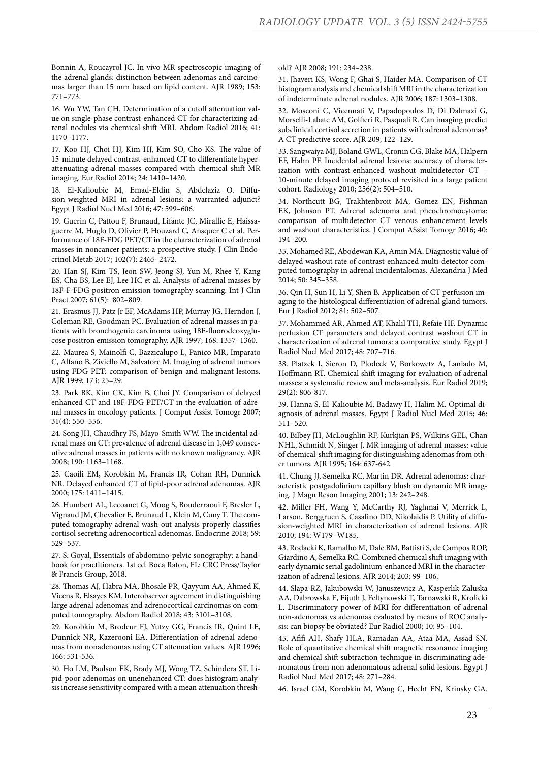Bonnin A, Roucayrol JC. In vivo MR spectroscopic imaging of the adrenal glands: distinction between adenomas and carcinomas larger than 15 mm based on lipid content. AJR 1989; 153: 771–773.

16. Wu YW, Tan CH. Determination of a cutoff attenuation value on single-phase contrast-enhanced CT for characterizing adrenal nodules via chemical shift MRI. Abdom Radiol 2016; 41: 1170–1177.

17. Koo HJ, Choi HJ, Kim HJ, Kim SO, Cho KS. The value of 15-minute delayed contrast-enhanced CT to differentiate hyperattenuating adrenal masses compared with chemical shift MR imaging. Eur Radiol 2014; 24: 1410–1420.

18. El-Kalioubie M, Emad-Eldin S, Abdelaziz O. Diffusion-weighted MRI in adrenal lesions: a warranted adjunct? Egypt J Radiol Nucl Med 2016; 47: 599–606.

19. Guerin C, Pattou F, Brunaud, Lifante JC, Mirallie E, Haissaguerre M, Huglo D, Olivier P, Houzard C, Ansquer C et al. Performance of 18F-FDG PET/CT in the characterization of adrenal masses in noncancer patients: a prospective study. J Clin Endocrinol Metab 2017; 102(7): 2465–2472.

20. Han SJ, Kim TS, Jeon SW, Jeong SJ, Yun M, Rhee Y, Kang ES, Cha BS, Lee EJ, Lee HC et al. Analysis of adrenal masses by 18F-F-FDG positron emission tomography scanning. Int J Clin Pract 2007; 61(5): 802–809.

21. Erasmus JJ, Patz Jr EF, McAdams HP, Murray JG, Herndon J, Coleman RE, Goodman PC. Evaluation of adrenal masses in patients with bronchogenic carcinoma using 18F-fluorodeoxyglucose positron emission tomography. AJR 1997; 168: 1357–1360.

22. Maurea S, Mainolfi C, Bazzicalupo L, Panico MR, Imparato C, Alfano B, Ziviello M, Salvatore M. Imaging of adrenal tumors using FDG PET: comparison of benign and malignant lesions. AJR 1999; 173: 25–29.

23. Park BK, Kim CK, Kim B, Choi JY. Comparison of delayed enhanced CT and 18F-FDG PET/CT in the evaluation of adrenal masses in oncology patients. J Comput Assist Tomogr 2007; 31(4): 550–556.

24. Song JH, Chaudhry FS, Mayo-Smith WW. The incidental adrenal mass on CT: prevalence of adrenal disease in 1,049 consecutive adrenal masses in patients with no known malignancy. AJR 2008; 190: 1163–1168.

25. Caoili EM, Korobkin M, Francis IR, Cohan RH, Dunnick NR. Delayed enhanced CT of lipid-poor adrenal adenomas. AJR 2000; 175: 1411–1415.

26. Humbert AL, Lecoanet G, Moog S, Bouderraoui F, Bresler L, Vignaud JM, Chevalier E, Brunaud L, Klein M, Cuny T. The computed tomography adrenal wash-out analysis properly classifies cortisol secreting adrenocortical adenomas. Endocrine 2018; 59: 529–537.

27. S. Goyal, Essentials of abdomino-pelvic sonography: a handbook for practitioners. 1st ed. Boca Raton, FL: CRC Press/Taylor & Francis Group, 2018.

28. Thomas AJ, Habra MA, Bhosale PR, Qayyum AA, Ahmed K, Vicens R, Elsayes KM. Interobserver agreement in distinguishing large adrenal adenomas and adrenocortical carcinomas on computed tomography. Abdom Radiol 2018; 43: 3101–3108.

29. Korobkin M, Brodeur FJ, Yutzy GG, Francis IR, Quint LE, Dunnick NR, Kazerooni EA. Differentiation of adrenal adenomas from nonadenomas using CT attenuation values. AJR 1996; 166: 531-536.

30. Ho LM, Paulson EK, Brady MJ, Wong TZ, Schindera ST. Lipid-poor adenomas on unenehanced CT: does histogram analysis increase sensitivity compared with a mean attenuation threshold? AJR 2008; 191: 234–238.

31. Jhaveri KS, Wong F, Ghai S, Haider MA. Comparison of CT histogram analysis and chemical shift MRI in the characterization of indeterminate adrenal nodules. AJR 2006; 187: 1303–1308.

32. Mosconi C, Vicennati V, Papadopoulos D, Di Dalmazi G, Morselli-Labate AM, Golfieri R, Pasquali R. Can imaging predict subclinical cortisol secretion in patients with adrenal adenomas? A CT predictive score. AJR 209; 122–129.

33. Sangwaiya MJ, Boland GWL, Cronin CG, Blake MA, Halpern EF, Hahn PF. Incidental adrenal lesions: accuracy of characterization with contrast-enhanced washout multidetector CT – 10-minute delayed imaging protocol revisited in a large patient cohort. Radiology 2010; 256(2): 504–510.

34. Northcutt BG, Trakhtenbroit MA, Gomez EN, Fishman EK, Johnson PT. Adrenal adenoma and pheochromocytoma: comparison of multidetector CT venous enhancement levels and washout characteristics. J Comput ASsist Tomogr 2016; 40: 194–200.

35. Mohamed RE, Abodewan KA, Amin MA. Diagnostic value of delayed washout rate of contrast-enhanced multi-detector computed tomography in adrenal incidentalomas. Alexandria J Med 2014; 50: 345–358.

36. Qin H, Sun H, Li Y, Shen B. Application of CT perfusion imaging to the histological differentiation of adrenal gland tumors. Eur J Radiol 2012; 81: 502–507.

37. Mohammed AR, Ahmed AT, Khalil TH, Refaie HF. Dynamic perfusion CT parameters and delayed contrast washout CT in characterization of adrenal tumors: a comparative study. Egypt J Radiol Nucl Med 2017; 48: 707–716.

38. Platzek I, Sieron D, Plodeck V, Borkowetz A, Laniado M, Hoffmann RT. Chemical shift imaging for evaluation of adrenal masses: a systematic review and meta-analysis. Eur Radiol 2019; 29(2): 806-817.

39. Hanna S, El-Kalioubie M, Badawy H, Halim M. Optimal diagnosis of adrenal masses. Egypt J Radiol Nucl Med 2015; 46: 511–520.

40. Bilbey JH, McLoughlin RF, Kurkjian PS, Wilkins GEL, Chan NHL, Schmidt N, Singer J. MR imaging of adrenal masses: value of chemical-shift imaging for distinguishing adenomas from other tumors. AJR 1995; 164: 637-642.

41. Chung JJ, Semelka RC, Martin DR. Adrenal adenomas: characteristic postgadolinium capillary blush on dynamic MR imaging. J Magn Reson Imaging 2001; 13: 242–248.

42. Miller FH, Wang Y, McCarthy RJ, Yaghmai V, Merrick L, Larson, Berggruen S, Casalino DD, Nikolaidis P. Utility of diffusion-weighted MRI in characterization of adrenal lesions. AJR 2010; 194: W179–W185.

43. Rodacki K, Ramalho M, Dale BM, Battisti S, de Campos ROP, Giardino A, Semelka RC. Combined chemical shift imaging with early dynamic serial gadolinium-enhanced MRI in the characterization of adrenal lesions. AJR 2014; 203: 99–106.

44. Slapa RZ, Jakubowski W, Januszewicz A, Kasperlik-Zaluska AA, Dabrowska E, Fijuth J, Feltynowski T, Tarnawski R, Krolicki L. Discriminatory power of MRI for differentiation of adrenal non-adenomas vs adenomas evaluated by means of ROC analysis: can biopsy be obviated? Eur Radiol 2000; 10: 95–104.

45. Afifi AH, Shafy HLA, Ramadan AA, Ataa MA, Assad SN. Role of quantitative chemical shift magnetic resonance imaging and chemical shift subtraction technique in discriminating adenomatous from non adenomatous adrenal solid lesions. Egypt J Radiol Nucl Med 2017; 48: 271–284.

46. Israel GM, Korobkin M, Wang C, Hecht EN, Krinsky GA.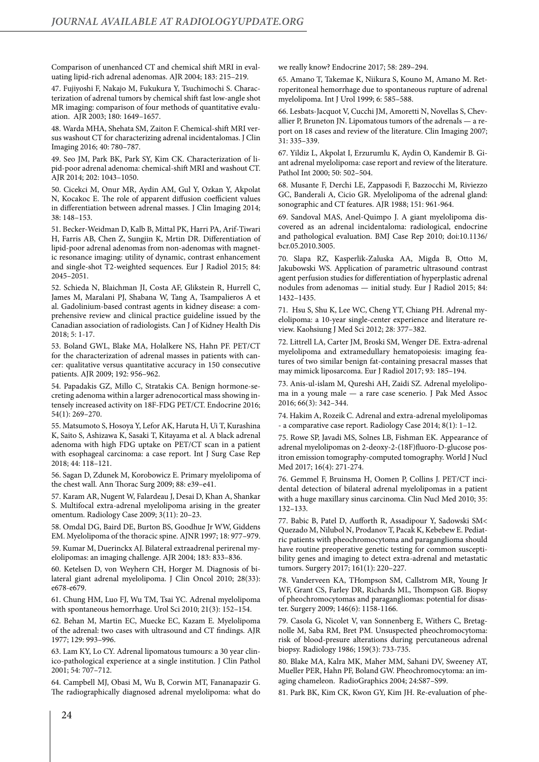Comparison of unenhanced CT and chemical shift MRI in evaluating lipid-rich adrenal adenomas. AJR 2004; 183: 215–219.

47. Fujiyoshi F, Nakajo M, Fukukura Y, Tsuchimochi S. Characterization of adrenal tumors by chemical shift fast low-angle shot MR imaging: comparison of four methods of quantitative evaluation. AJR 2003; 180: 1649–1657.

48. Warda MHA, Shehata SM, Zaiton F. Chemical-shift MRI versus washout CT for characterizing adrenal incidentalomas. J Clin Imaging 2016; 40: 780–787.

49. Seo JM, Park BK, Park SY, Kim CK. Characterization of lipid-poor adrenal adenoma: chemical-shift MRI and washout CT. AJR 2014; 202: 1043–1050.

50. Cicekci M, Onur MR, Aydin AM, Gul Y, Ozkan Y, Akpolat N, Kocakoc E. The role of apparent diffusion coefficient values in differentiation between adrenal masses. J Clin Imaging 2014; 38: 148–153.

51. Becker-Weidman D, Kalb B, Mittal PK, Harri PA, Arif-Tiwari H, Farris AB, Chen Z, Sungjin K, Mrtin DR. Differentiation of lipid-poor adrenal adenomas from non-adenomas with magnetic resonance imaging: utility of dynamic, contrast enhancement and single-shot T2-weighted sequences. Eur J Radiol 2015; 84: 2045–2051.

52. Schieda N, Blaichman JI, Costa AF, Glikstein R, Hurrell C, James M, Maralani PJ, Shabana W, Tang A, Tsampalieros A et al. Gadolinium-based contrast agents in kidney disease: a comprehensive review and clinical practice guideline issued by the Canadian association of radiologists. Can J of Kidney Health Dis 2018; 5: 1-17.

53. Boland GWL, Blake MA, Holalkere NS, Hahn PF. PET/CT for the characterization of adrenal masses in patients with cancer: qualitative versus quantitative accuracy in 150 consecutive patients. AJR 2009; 192: 956–962.

54. Papadakis GZ, Millo C, Stratakis CA. Benign hormone-secreting adenoma within a larger adrenocortical mass showing intensely increased activity on 18F-FDG PET/CT. Endocrine 2016; 54(1): 269–270.

55. Matsumoto S, Hosoya Y, Lefor AK, Haruta H, Ui T, Kurashina K, Saito S, Ashizawa K, Sasaki T, Kitayama et al. A black adrenal adenoma with high FDG uptake on PET/CT scan in a patient with esophageal carcinoma: a case report. Int J Surg Case Rep 2018; 44: 118–121.

56. Sagan D, Zdunek M, Korobowicz E. Primary myelolipoma of the chest wall. Ann Thorac Surg 2009; 88: e39–e41.

57. Karam AR, Nugent W, Falardeau J, Desai D, Khan A, Shankar S. Multifocal extra-adrenal myelolipoma arising in the greater omentum. Radiology Case 2009; 3(11): 20–23.

58. Omdal DG, Baird DE, Burton BS, Goodhue Jr WW, Giddens EM. Myelolipoma of the thoracic spine. AJNR 1997; 18: 977–979.

59. Kumar M, Duerinckx AJ. Bilateral extraadrenal perirenal myelolipomas: an imaging challenge. AJR 2004; 183: 833–836.

60. Ketelsen D, von Weyhern CH, Horger M. Diagnosis of bilateral giant adrenal myelolipoma. J Clin Oncol 2010; 28(33): e678-e679.

61. Chung HM, Luo FJ, Wu TM, Tsai YC. Adrenal myelolipoma with spontaneous hemorrhage. Urol Sci 2010; 21(3): 152–154.

62. Behan M, Martin EC, Muecke EC, Kazam E. Myelolipoma of the adrenal: two cases with ultrasound and CT findings. AJR 1977; 129: 993–996.

63. Lam KY, Lo CY. Adrenal lipomatous tumours: a 30 year clinico-pathological experience at a single institution. J Clin Pathol 2001; 54: 707–712.

64. Campbell MJ, Obasi M, Wu B, Corwin MT, Fananapazir G. The radiographically diagnosed adrenal myelolipoma: what do we really know? Endocrine 2017; 58: 289–294.

65. Amano T, Takemae K, Niikura S, Kouno M, Amano M. Retroperitoneal hemorrhage due to spontaneous rupture of adrenal myelolipoma. Int J Urol 1999; 6: 585–588.

66. Lesbats-Jacquot V, Cucchi JM, Amoretti N, Novellas S, Chevallier P, Bruneton JN. Lipomatous tumors of the adrenals — a report on 18 cases and review of the literature. Clin Imaging 2007; 31: 335–339.

67. Yildiz L, Akpolat I, Erzurumlu K, Aydin O, Kandemir B. Giant adrenal myelolipoma: case report and review of the literature. Pathol Int 2000; 50: 502–504.

68. Musante F, Derchi LE, Zappasodi F, Bazzocchi M, Riviezzo GC, Banderali A, Cicio GR. Myelolipoma of the adrenal gland: sonographic and CT features. AJR 1988; 151: 961-964.

69. Sandoval MAS, Anel-Quimpo J. A giant myelolipoma discovered as an adrenal incidentaloma: radiological, endocrine and pathological evaluation. BMJ Case Rep 2010; doi:10.1136/ bcr.05.2010.3005.

70. Slapa RZ, Kasperlik-Zaluska AA, Migda B, Otto M, Jakubowski WS. Application of parametric ultrasound contrast agent perfusion studies for differentiation of hyperplastic adrenal nodules from adenomas — initial study. Eur J Radiol 2015; 84: 1432–1435.

71. Hsu S, Shu K, Lee WC, Cheng YT, Chiang PH. Adrenal myelolipoma: a 10-year single-center experience and literature review. Kaohsiung J Med Sci 2012; 28: 377–382.

72. Littrell LA, Carter JM, Broski SM, Wenger DE. Extra-adrenal myelolipoma and extramedullary hematopoiesis: imaging features of two similar benign fat-containing presacral masses that may mimick liposarcoma. Eur J Radiol 2017; 93: 185–194.

73. Anis-ul-islam M, Qureshi AH, Zaidi SZ. Adrenal myelolipoma in a young male — a rare case scenerio. J Pak Med Assoc 2016; 66(3): 342–344.

74. Hakim A, Rozeik C. Adrenal and extra-adrenal myelolipomas - a comparative case report. Radiology Case 2014; 8(1): 1–12.

75. Rowe SP, Javadi MS, Solnes LB, Fishman EK. Appearance of adrenal myelolipomas on 2-deoxy-2-(18F)fluoro-D-glucose positron emission tomography-computed tomography. World J Nucl Med 2017; 16(4): 271-274.

76. Gemmel F, Bruinsma H, Oomen P, Collins J. PET/CT incidental detection of bilateral adrenal myelolipomas in a patient with a huge maxillary sinus carcinoma. Clin Nucl Med 2010; 35: 132–133.

77. Babic B, Patel D, Aufforth R, Assadipour Y, Sadowski SM< Quezado M, Nilubol N, Prodanov T, Pacak K, Kebebew E. Pediatric patients with pheochromocytoma and paraganglioma should have routine preoperative genetic testing for common susceptibility genes and imaging to detect extra-adrenal and metastatic tumors. Surgery 2017; 161(1): 220–227.

78. Vanderveen KA, THompson SM, Callstrom MR, Young Jr WF, Grant CS, Farley DR, Richards ML, Thompson GB. Biopsy of pheochromocytomas and paragangliomas: potential for disaster. Surgery 2009; 146(6): 1158-1166.

79. Casola G, Nicolet V, van Sonnenberg E, Withers C, Bretagnolle M, Saba RM, Bret PM. Unsuspected pheochromocytoma: risk of blood-presure alterations during percutaneous adrenal biopsy. Radiology 1986; 159(3): 733-735.

80. Blake MA, Kalra MK, Maher MM, Sahani DV, Sweeney AT, Mueller PER, Hahn PF, Boland GW. Pheochromocytoma: an imaging chameleon. RadioGraphics 2004; 24:S87–S99.

81. Park BK, Kim CK, Kwon GY, Kim JH. Re-evaluation of phe-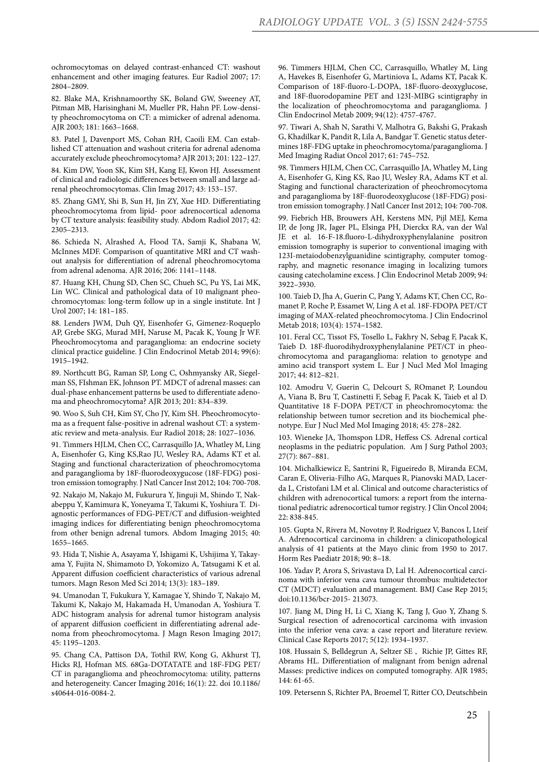ochromocytomas on delayed contrast-enhanced CT: washout enhancement and other imaging features. Eur Radiol 2007; 17: 2804–2809.

82. Blake MA, Krishnamoorthy SK, Boland GW, Sweeney AT, Pitman MB, Harisinghani M, Mueller PR, Hahn PF. Low-density pheochromocytoma on CT: a mimicker of adrenal adenoma. AJR 2003; 181: 1663–1668.

83. Patel J, Davenport MS, Cohan RH, Caoili EM. Can established CT attenuation and washout criteria for adrenal adenoma accurately exclude pheochromocytoma? AJR 2013; 201: 122–127.

84. Kim DW, Yoon SK, Kim SH, Kang EJ, Kwon HJ. Assessment of clinical and radiologic differences between small and large adrenal pheochromocytomas. Clin Imag 2017; 43: 153–157.

85. Zhang GMY, Shi B, Sun H, Jin ZY, Xue HD. Differentiating pheochromocytoma from lipid- poor adrenocortical adenoma by CT texture analysis: feasibility study. Abdom Radiol 2017; 42: 2305–2313.

86. Schieda N, Alrashed A, Flood TA, Samji K, Shabana W, McInnes MDF. Comparison of quantitative MRI and CT washout analysis for differentiation of adrenal pheochromocytoma from adrenal adenoma. AJR 2016; 206: 1141–1148.

87. Huang KH, Chung SD, Chen SC, Chueh SC, Pu YS, Lai MK, Lin WC. Clinical and pathological data of 10 malignant pheochromocytomas: long-term follow up in a single institute. Int J Urol 2007; 14: 181–185.

88. Lenders JWM, Duh QY, Eisenhofer G, Gimenez-Roqueplo AP, Grebe SKG, Murad MH, Naruse M, Pacak K, Young Jr WF. Pheochromocytoma and paraganglioma: an endocrine society clinical practice guideline. J Clin Endocrinol Metab 2014; 99(6): 1915–1942.

89. Northcutt BG, Raman SP, Long C, Oshmyansky AR, Siegelman SS, FIshman EK, Johnson PT. MDCT of adrenal masses: can dual-phase enhancement patterns be used to differentiate adenoma and pheochromocytoma? AJR 2013; 201: 834–839.

90. Woo S, Suh CH, Kim SY, Cho JY, Kim SH. Pheochromocytoma as a frequent false-positive in adrenal washout CT: a systematic review and meta-analysis. Eur Radiol 2018; 28: 1027–1036.

91. Timmers HJLM, Chen CC, Carrasquillo JA, Whatley M, Ling A, Eisenhofer G, King KS,Rao JU, Wesley RA, Adams KT et al. Staging and functional characterization of pheochromocytoma and paraganglioma by 18F-fluorodeoxygucose (18F-FDG) positron emission tomography. J Natl Cancer Inst 2012; 104: 700-708.

92. Nakajo M, Nakajo M, Fukurura Y, Jinguji M, Shindo T, Nakabeppu Y, Kamimura K, Yoneyama T, Takumi K, Yoshiura T. Diagnostic performances of FDG-PET/CT and diffusion-weighted imaging indices for differentiating benign pheochromocytoma from other benign adrenal tumors. Abdom Imaging 2015; 40: 1655–1665.

93. Hida T, Nishie A, Asayama Y, Ishigami K, Ushijima Y, Takayama Y, Fujita N, Shimamoto D, Yokomizo A, Tatsugami K et al. Apparent diffusion coefficient characteristics of various adrenal tumors. Magn Reson Med Sci 2014; 13(3): 183–189.

94. Umanodan T, Fukukura Y, Kamagae Y, Shindo T, Nakajo M, Takumi K, Nakajo M, Hakamada H, Umanodan A, Yoshiura T. ADC histogram analysis for adrenal tumor histogram analysis of apparent diffusion coefficient in differentiating adrenal adenoma from pheochromocytoma. J Magn Reson Imaging 2017; 45: 1195–1203.

95. Chang CA, Pattison DA, Tothil RW, Kong G, Akhurst TJ, Hicks RJ, Hofman MS. 68Ga-DOTATATE and 18F-FDG PET/ CT in paraganglioma and pheochromocytoma: utility, patterns and heterogeneity. Cancer Imaging 2016; 16(1): 22. doi 10.1186/ s40644-016-0084-2.

96. Timmers HJLM, Chen CC, Carrasquillo, Whatley M, Ling A, Havekes B, Eisenhofer G, Martiniova L, Adams KT, Pacak K. Comparison of 18F-fluoro-L-DOPA, 18F-fluoro-deoxyglucose, and 18F-fluorodopamine PET and 123I-MIBG scintigraphy in the localization of pheochromocytoma and paraganglioma. J Clin Endocrinol Metab 2009; 94(12): 4757-4767.

97. Tiwari A, Shah N, Sarathi V, Malhotra G, Bakshi G, Prakash G, Khadilkar K, Pandit R, Lila A, Bandgar T. Genetic status determines 18F-FDG uptake in pheochromocytoma/paraganglioma. J Med Imaging Radiat Oncol 2017; 61: 745–752.

98. Timmers HJLM, Chen CC, Carrasquillo JA, Whatley M, Ling A, Eisenhofer G, King KS, Rao JU, Wesley RA, Adams KT et al. Staging and functional characterization of pheochromocytoma and paraganglioma by 18F-fluorodeoxyglucose (18F-FDG) positron emission tomography. J Natl Cancer Inst 2012; 104: 700-708.

99. Fiebrich HB, Brouwers AH, Kerstens MN, Pijl MEJ, Kema IP, de Jong JR, Jager PL, Elsinga PH, Dierckx RA, van der Wal JE et al. 16-F-18.fluoro-L-dihydroxyphenylalanine positron emission tomography is superior to conventional imaging with 123I-metaiodobenzylguanidine scintigraphy, computer tomography, and magnetic resonance imaging in localizing tumors causing catecholamine excess. J Clin Endocrinol Metab 2009; 94: 3922–3930.

100. Taieb D, Jha A, Guerin C, Pang Y, Adams KT, Chen CC, Romanet P, Roche P, Essamet W, Ling A et al. 18F-FDOPA PET/CT imaging of MAX-related pheochromocytoma. J Clin Endocrinol Metab 2018; 103(4): 1574–1582.

101. Feral CC, Tissot FS, Tosello L, Fakhry N, Sebag F, Pacak K, Taieb D. 18F-fluorodihydroxyphenylalanine PET/CT in pheochromocytoma and paraganglioma: relation to genotype and amino acid transport system L. Eur J Nucl Med Mol Imaging 2017; 44: 812–821.

102. Amodru V, Guerin C, Delcourt S, ROmanet P, Loundou A, Viana B, Bru T, Castinetti F, Sebag F, Pacak K, Taieb et al D. Quantitative 18 F-DOPA PET/CT in pheochromocytoma: the relationship between tumor secretion and its biochemical phenotype. Eur J Nucl Med Mol Imaging 2018; 45: 278–282.

103. Wieneke JA, Thomspon LDR, Heffess CS. Adrenal cortical neoplasms in the pediatric population. Am J Surg Pathol 2003; 27(7): 867–881.

104. Michalkiewicz E, Santrini R, Figueiredo B, Miranda ECM, Caran E, Oliveria-Filho AG, Marques R, Pianovski MAD, Lacerda L, Cristofani LM et al. Clinical and outcome characteristics of children with adrenocortical tumors: a report from the international pediatric adrenocortical tumor registry. J Clin Oncol 2004; 22: 838-845.

105. Gupta N, Rivera M, Novotny P, Rodriguez V, Bancos I, Lteif A. Adrenocortical carcinoma in children: a clinicopathological analysis of 41 patients at the Mayo clinic from 1950 to 2017. Horm Res Paediatr 2018; 90: 8–18.

106. Yadav P, Arora S, Srivastava D, Lal H. Adrenocortical carcinoma with inferior vena cava tumour thrombus: multidetector CT (MDCT) evaluation and management. BMJ Case Rep 2015; doi:10.1136/bcr-2015- 213073.

107. Jiang M, Ding H, Li C, Xiang K, Tang J, Guo Y, Zhang S. Surgical resection of adrenocortical carcinoma with invasion into the inferior vena cava: a case report and literature review. Clinical Case Reports 2017; 5(12): 1934–1937.

108. Hussain S, Belldegrun A, Seltzer SE , Richie JP, Gittes RF, Abrams HL. Differentiation of malignant from benign adrenal Masses: predictive indices on computed tomography. AJR 1985; 144: 61-65.

109. Petersenn S, Richter PA, Broemel T, Ritter CO, Deutschbein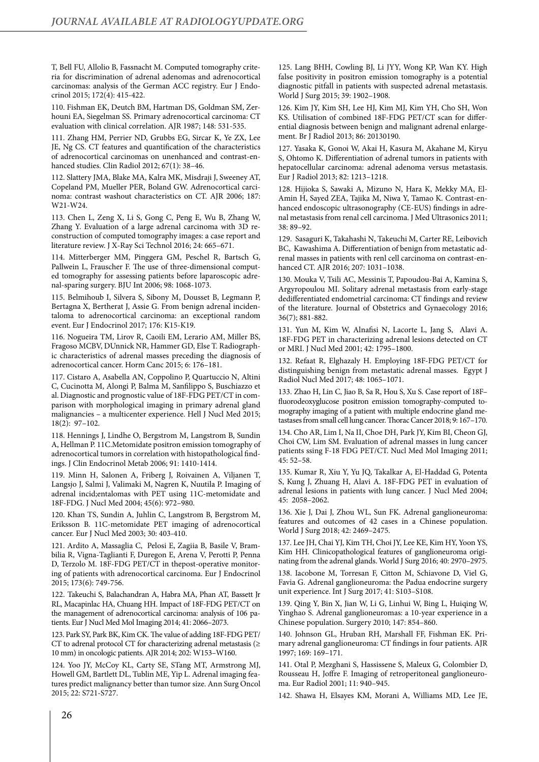T, Bell FU, Allolio B, Fassnacht M. Computed tomography criteria for discrimination of adrenal adenomas and adrenocortical carcinomas: analysis of the German ACC registry. Eur J Endocrinol 2015; 172(4): 415-422.

110. Fishman EK, Deutch BM, Hartman DS, Goldman SM, Zerhouni EA, Siegelman SS. Primary adrenocortical carcinoma: CT evaluation with clinical correlation. AJR 1987; 148: 531-535.

111. Zhang HM, Perrier ND, Grubbs EG, Sircar K, Ye ZX, Lee JE, Ng CS. CT features and quantification of the characteristics of adrenocortical carcinomas on unenhanced and contrast-enhanced studies. Clin Radiol 2012; 67(1): 38–46.

112. Slattery JMA, Blake MA, Kalra MK, Misdraji J, Sweeney AT, Copeland PM, Mueller PER, Boland GW. Adrenocortical carcinoma: contrast washout characteristics on CT. AJR 2006; 187: W21-W24.

113. Chen L, Zeng X, Li S, Gong C, Peng E, Wu B, Zhang W, Zhang Y. Evaluation of a large adrenal carcinoma with 3D reconstruction of computed tomography images: a case report and literature review. J X-Ray Sci Technol 2016; 24: 665–671.

114. Mitterberger MM, Pinggera GM, Peschel R, Bartsch G, Pallwein L, Frauscher F. The use of three-dimensional computed tomography for assessing patients before laparoscopic adrenal-sparing surgery. BJU Int 2006; 98: 1068-1073.

115. Belmihoub I, Silvera S, Sibony M, Dousset B, Legmann P, Bertagna X, Bertherat J, Assie G. From benign adrenal incidentaloma to adrenocortical carcinoma: an exceptional random event. Eur J Endocrinol 2017; 176: K15-K19.

116. Nogueira TM, Lirov R, Caoili EM, Lerario AM, Miller BS, Fragoso MCBV, DUnnick NR, Hammer GD, Else T. Radiographic characteristics of adrenal masses preceding the diagnosis of adrenocortical cancer. Horm Canc 2015; 6: 176–181.

117. Cistaro A, Asabella AN, Coppolino P, Quartuccio N, Altini C, Cucinotta M, Alongi P, Balma M, Sanfilippo S, Buschiazzo et al. Diagnostic and prognostic value of 18F-FDG PET/CT in comparison with morphological imaging in primary adrenal gland malignancies – a multicenter experience. Hell J Nucl Med 2015; 18(2): 97–102.

118. Hennings J, Lindhe O, Bergstrom M, Langstrom B, Sundin A, Hellman P. 11C.Metomidate positron emission tomography of adrenocortical tumors in correlation with histopathological findings. J Clin Endocrinol Metab 2006; 91: 1410-1414.

119. Minn H, Salonen A, Friberg J, Roivainen A, Viljanen T, Langsjo J, Salmi J, Valimaki M, Nagren K, Nuutila P. Imaging of adrenal incid;entalomas with PET using 11C-metomidate and 18F-FDG. J Nucl Med 2004; 45(6): 972–980.

120. Khan TS, Sundin A, Juhlin C, Langstrom B, Bergstrom M, Eriksson B. 11C-metomidate PET imaging of adrenocortical cancer. Eur J Nucl Med 2003; 30: 403-410.

121. Ardito A, Massaglia C, Pelosi E, Zagiia B, Basile V, Brambilia R, Vigna-Taglianti F, Duregon E, Arena V, Perotti P, Penna D, Terzolo M. 18F-FDG PET/CT in thepost-operative monitoring of patients with adrenocortical carcinoma. Eur J Endocrinol 2015; 173(6): 749-756.

122. Takeuchi S, Balachandran A, Habra MA, Phan AT, Bassett Jr RL, Macapinlac HA, Chuang HH. Impact of 18F-FDG PET/CT on the management of adrenocortical carcinoma: analysis of 106 patients. Eur J Nucl Med Mol Imaging 2014; 41: 2066–2073.

123. Park SY, Park BK, Kim CK. The value of adding 18F-FDG PET/ CT to adrenal protocol CT for characterizing adrenal metastasis (≥ 10 mm) in oncologic patients. AJR 2014; 202: W153–W160.

124. Yoo JY, McCoy KL, Carty SE, STang MT, Armstrong MJ, Howell GM, Bartlett DL, Tublin ME, Yip L. Adrenal imaging features predict malignancy better than tumor size. Ann Surg Oncol 2015; 22: S721-S727.

125. Lang BHH, Cowling BJ, Li JYY, Wong KP, Wan KY. High false positivity in positron emission tomography is a potential diagnostic pitfall in patients with suspected adrenal metastasis. World J Surg 2015; 39: 1902–1908.

126. Kim JY, Kim SH, Lee HJ, Kim MJ, Kim YH, Cho SH, Won KS. Utilisation of combined 18F-FDG PET/CT scan for differential diagnosis between benign and malignant adrenal enlargement. Br J Radiol 2013; 86: 20130190.

127. Yasaka K, Gonoi W, Akai H, Kasura M, Akahane M, Kiryu S, Ohtomo K. Differentiation of adrenal tumors in patients with hepatocellular carcinoma: adrenal adenoma versus metastasis. Eur J Radiol 2013; 82: 1213–1218.

128. Hijioka S, Sawaki A, Mizuno N, Hara K, Mekky MA, El-Amin H, Sayed ZEA, Tajika M, Niwa Y, Tamao K. Contrast-enhanced endoscopic ultrasonography (CE-EUS) findings in adrenal metastasis from renal cell carcinoma. J Med Ultrasonics 2011; 38: 89–92.

129. Sasaguri K, Takahashi N, Takeuchi M, Carter RE, Leibovich BC, Kawashima A. Differentiation of benign from metastatic adrenal masses in patients with renl cell carcinoma on contrast-enhanced CT. AJR 2016; 207: 1031–1038.

130. Mouka V, Tsili AC, Messinis T, Papoudou-Bai A, Kamina S, Argyropoulou MI. Solitary adrenal metastasis from early-stage dedifferentiated endometrial carcinoma: CT findings and review of the literature. Journal of Obstetrics and Gynaecology 2016; 36(7); 881-882.

131. Yun M, Kim W, Alnafisi N, Lacorte L, Jang S, Alavi A. 18F-FDG PET in characterizing adrenal lesions detected on CT or MRI. J Nucl Med 2001; 42: 1795–1800.

132. Refaat R, Elghazaly H. Employing 18F-FDG PET/CT for distinguishing benign from metastatic adrenal masses. Egypt J Radiol Nucl Med 2017; 48: 1065–1071.

133. Zhao H, Lin C, Jiao B, Sa R, Hou S, Xu S. Case report of 18F– fluorodeoxyglucose positron emission tomography-computed tomography imaging of a patient with multiple endocrine gland metastases from small cell lung cancer. Thorac Cancer 2018; 9: 167–170.

134. Cho AR, Lim I, Na II, Choe DH, Park JY, Kim BI, Cheon GJ, Choi CW, Lim SM. Evaluation of adrenal masses in lung cancer patients ssing F-18 FDG PET/CT. Nucl Med Mol Imaging 2011; 45: 52–58.

135. Kumar R, Xiu Y, Yu JQ, Takalkar A, El-Haddad G, Potenta S, Kung J, Zhuang H, Alavi A. 18F-FDG PET in evaluation of adrenal lesions in patients with lung cancer. J Nucl Med 2004; 45: 2058–2062.

136. Xie J, Dai J, Zhou WL, Sun FK. Adrenal ganglioneuroma: features and outcomes of 42 cases in a Chinese population. World J Surg 2018; 42: 2469–2475.

137. Lee JH, Chai YJ, Kim TH, Choi JY, Lee KE, Kim HY, Yoon YS, Kim HH. Clinicopathological features of ganglioneuroma originating from the adrenal glands. World J Surg 2016; 40: 2970–2975.

138. Iacobone M, Torresan F, Citton M, Schiavone D, Viel G, Favia G. Adrenal ganglioneuroma: the Padua endocrine surgery unit experience. Int J Surg 2017; 41: S103–S108.

139. Qing Y, Bin X, Jian W, Li G, Linhui W, Bing L, Huiqing W, Yinghao S. Adrenal ganglioneuromas: a 10-year experience in a Chinese population. Surgery 2010; 147: 854–860.

140. Johnson GL, Hruban RH, Marshall FF, Fishman EK. Primary adrenal ganglioneuroma: CT findings in four patients. AJR 1997; 169: 169–171.

141. Otal P, Mezghani S, Hassissene S, Maleux G, Colombier D, Rousseau H, Joffre F. Imaging of retroperitoneal ganglioneuroma. Eur Radiol 2001; 11: 940–945.

142. Shawa H, Elsayes KM, Morani A, Williams MD, Lee JE,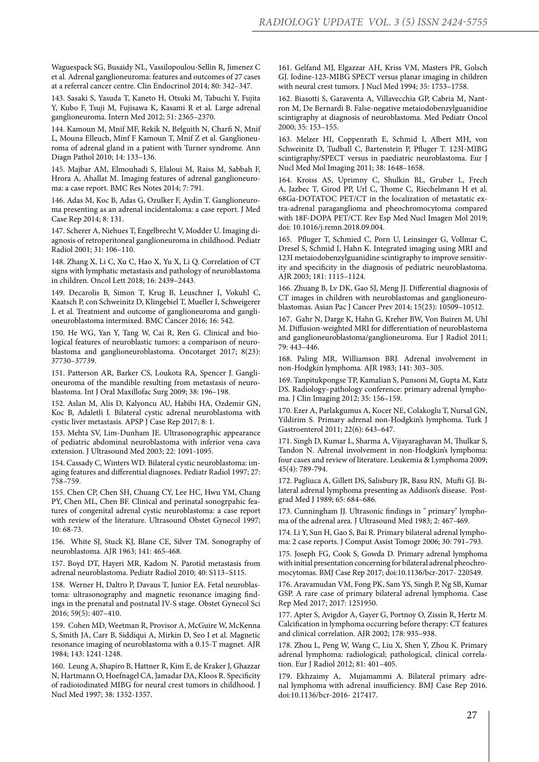Waguespack SG, Busaidy NL, Vassilopoulou-Sellin R, Jimenez C et al. Adrenal ganglioneuroma: features and outcomes of 27 cases at a referral cancer centre. Clin Endocrinol 2014; 80: 342–347.

143. Sasaki S, Yasuda T, Kaneto H, Otsuki M, Tabuchi Y, Fujita Y, Kubo F, Tsuji M, Fujisawa K, Kasami R et al. Large adrenal ganglioneuroma. Intern Med 2012; 51: 2365–2370.

144. Kamoun M, Mnif MF, Rekik N, Belguith N, Charfi N, Mnif L, Mouna Elleuch, Minf F Kamoun T, Mnif Z et al. Ganglioneuroma of adrenal gland in a patient with Turner syndrome. Ann Diagn Pathol 2010; 14: 133–136.

145. Majbar AM, Elmouhadi S, Elaloui M, Raiss M, Sabbah F, Hrora A, Ahallat M. Imaging features of adrenal ganglioneuroma: a case report. BMC Res Notes 2014; 7: 791.

146. Adas M, Koc B, Adas G, Ozulker F, Aydin T. Ganglioneuroma presenting as an adrenal incidentaloma: a case report. J Med Case Rep 2014; 8: 131.

147. Scherer A, Niehues T, Engelbrecht V, Modder U. Imaging diagnosis of retroperitoneal ganglioneuroma in childhood. Pediatr Radiol 2001; 31: 106–110.

148. Zhang X, Li C, Xu C, Hao X, Yu X, Li Q. Correlation of CT signs with lymphatic metastasis and pathology of neuroblastoma in children. Oncol Lett 2018; 16: 2439–2443.

149. Decarolis B, Simon T, Krug B, Leuschner I, Vokuhl C, Kaatsch P, con Schweinitz D, Klingebiel T, Mueller I, Schweigerer L et al. Treatment and outcome of ganglioneuroma and ganglioneuroblastoma intermixed. BMC Cancer 2016; 16: 542.

150. He WG, Yan Y, Tang W, Cai R, Ren G. Clinical and biological features of neuroblastic tumors: a comparison of neuroblastoma and ganglioneuroblastoma. Oncotarget 2017; 8(23): 37730–37739.

151. Patterson AR, Barker CS, Loukota RA, Spencer J. Ganglioneuroma of the mandible resulting from metastasis of neuroblastoma. Int J Oral Maxillofac Surg 2009; 38: 196–198.

152. Aslan M, Alis D, Kalyoncu AU, Habibi HA, Ozdemir GN, Koc B, Adaletli I. Bilateral cystic adrenal neuroblastoma with cystic liver metastasis. APSP J Case Rep 2017; 8: 1.

153. Mehta SV, Lim-Dunham JE. Ultrasonographic appearance of pediatric abdominal neuroblastoma with inferior vena cava extension. J Ultrasound Med 2003; 22: 1091-1095.

154. Cassady C, Winters WD. Bilateral cystic neuroblastoma: imaging features and differential diagnoses. Pediatr Radiol 1997; 27: 758–759.

155. Chen CP, Chen SH, Chuang CY, Lee HC, Hwu YM, Chang PY, Chen ML, Chen BF. Clinical and perinatal sonogrpahic features of congenital adrenal cystic neuroblastoma: a case report with review of the literature. Ultrasound Obstet Gynecol 1997; 10: 68-73.

156. White SJ, Stuck KJ, Blane CE, Silver TM. Sonography of neuroblastoma. AJR 1963; 141: 465-468.

157. Boyd DT, Hayeri MR, Kadom N. Parotid metastasis from adrenal neuroblastoma. Pediatr Radiol 2010; 40: S113–S115.

158. Werner H, Daltro P, Davaus T, Junior EA. Fetal neuroblastoma: ultrasonography and magnetic resonance imaging findings in the prenatal and postnatal IV-S stage. Obstet Gynecol Sci 2016; 59(5): 407–410.

159. Cohen MD, Weetman R, Provisor A, McGuire W, McKenna S, Smith JA, Carr B, Siddiqui A, Mirkin D, Seo I et al. Magnetic resonance imaging of neuroblastoma with a 0.15-T magnet. AJR 1984; 143: 1241-1248.

160. Leung A, Shapiro B, Hattner R, Kim E, de Kraker J, Ghazzar N, Hartmann O, Hoefnagel CA, Jamadar DA, Kloos R. Specificity of radioiodinated MIBG for neural crest tumors in childhood. J Nucl Med 1997; 38: 1352-1357.

161. Gelfand MJ, Elgazzar AH, Kriss VM, Masters PR, Golsch GJ. Iodine-123-MIBG SPECT versus planar imaging in children with neural crest tumors. J Nucl Med 1994; 35: 1753–1758.

162. Biasotti S, Garaventa A, Villavecchia GP, Cabria M, Nantron M, De Bernardi B. False-negative metaiodobenzylguanidine scintigraphy at diagnosis of neuroblastoma. Med Pediatr Oncol 2000; 35: 153–155.

163. Melzer HI, Coppenrath E, Schmid I, Albert MH, von Schweinitz D, Tudball C, Bartenstein P, Pfluger T. 123I-MIBG scintigraphy/SPECT versus in paediatric neuroblastoma. Eur J Nucl Med Mol Imaging 2011; 38: 1648–1658.

164. Kroiss AS, Uprimny C, Shulkin BL, Gruber L, Frech A, Jazbec T, Girod PP, Url C, Thome C, Riechelmann H et al. 68Ga-DOTATOC PET/CT in the localization of metastatic extra-adrenal paraganglioma and pheochromocytoma compared with 18F-DOPA PET/CT. Rev Esp Med Nucl Imagen Mol 2019; doi: 10.1016/j.remn.2018.09.004.

165. Pfluger T, Schmied C, Porn U, Leinsinger G, Vollmar C, Dresel S, Schmid I, Hahn K. Integrated imaging using MRI and 123I metaiodobenzylguanidine scintigraphy to improve sensitivity and specificity in the diagnosis of pediatric neuroblastoma. AJR 2003; 181: 1115–1124.

166. Zhuang B, Lv DK, Gao SJ, Meng JJ. Differential diagnosis of CT images in children with neuroblastomas and ganglioneuroblastomas. Asian Pac J Cancer Prev 2014; 15(23): 10509–10512.

167. Gahr N, Darge K, Hahn G, Kreher BW, Von Buiren M, Uhl M. Diffusion-weighted MRI for differentiation of neuroblastoma and ganglioneuroblastoma/ganglioneuroma. Eur J Radiol 2011; 79: 443–446.

168. Paling MR, Williamson BRJ. Adrenal involvement in non-Hodgkin lymphoma. AJR 1983; 141: 303–305.

169. Tanpitukpongse TP, Kamalian S, Punsoni M, Gupta M, Katz DS. Radiology–pathology conference: primary adrenal lymphoma. J Clin Imaging 2012; 35: 156–159.

170. Ezer A, Parlakgumus A, Kocer NE, Colakoglu T, Nursal GN, Yildirim S. Primary adrenal non-Hodgkin's lymphoma. Turk J Gastroenterol 2011; 22(6): 643–647.

171. Singh D, Kumar L, Sharma A, Vijayaraghavan M, Thulkar S, Tandon N. Adrenal involvement in non-Hodgkin's lymphoma: four cases and review of literature. Leukemia & Lymphoma 2009; 45(4): 789-794.

172. Pagliuca A, Gillett DS, Salisbury JR, Basu RN, Mufti GJ. Bilateral adrenal lymphoma presenting as Addison's disease. Postgrad Med J 1989; 65: 684–686.

173. Cunningham JJ. Ultrasonic findings in " primary" lymphoma of the adrenal area. J Ultrasound Med 1983; 2: 467-469.

174. Li Y, Sun H, Gao S, Bai R. Primary bilateral adrenal lymphoma: 2 case reports. J Comput Assist Tomogr 2006; 30: 791–793.

175. Joseph FG, Cook S, Gowda D. Primary adrenal lymphoma with initial presentation concerning for bilateral adrenal pheochromocytomas. BMJ Case Rep 2017; doi:10.1136/bcr-2017- 220549.

176. Aravamudan VM, Fong PK, Sam YS, Singh P, Ng SB, Kumar GSP. A rare case of primary bilateral adrenal lymphoma. Case Rep Med 2017; 2017: 1251950.

177. Apter S, Avigdor A, Gayer G, Portnoy O, Zissin R, Hertz M. Calcification in lymphoma occurring before therapy: CT features and clinical correlation. AJR 2002; 178: 935–938.

178. Zhou L, Peng W, Wang C, Liu X, Shen Y, Zhou K. Primary adrenal lymphoma: radiological; pathological, clinical correlation. Eur J Radiol 2012; 81: 401–405.

179. Ekhzaimy A, Mujamammi A. Bilateral primary adrenal lymphoma with adrenal insufficiency. BMJ Case Rep 2016. doi:10.1136/bcr-2016- 217417.